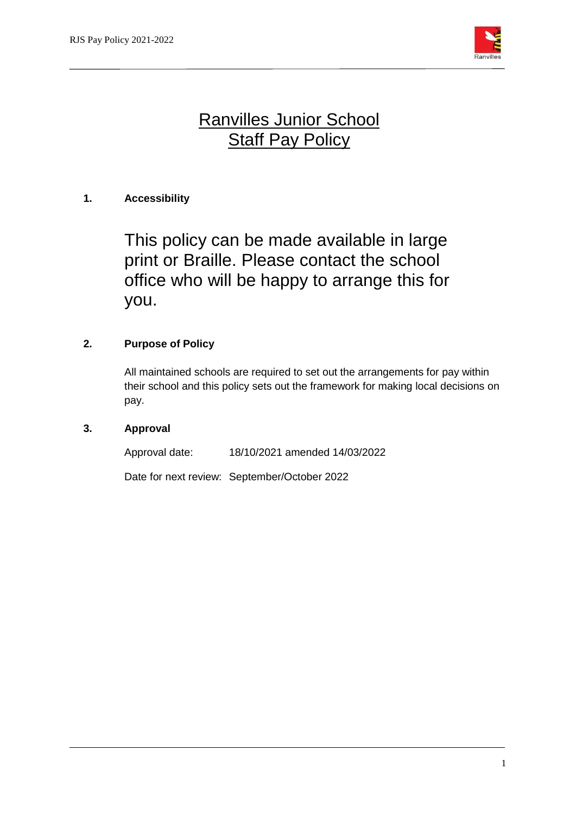

# Ranvilles Junior School **Staff Pay Policy**

## **1. Accessibility**

This policy can be made available in large print or Braille. Please contact the school office who will be happy to arrange this for you.

## **2. Purpose of Policy**

All maintained schools are required to set out the arrangements for pay within their school and this policy sets out the framework for making local decisions on pay.

## **3. Approval**

Approval date: 18/10/2021 amended 14/03/2022

Date for next review: September/October 2022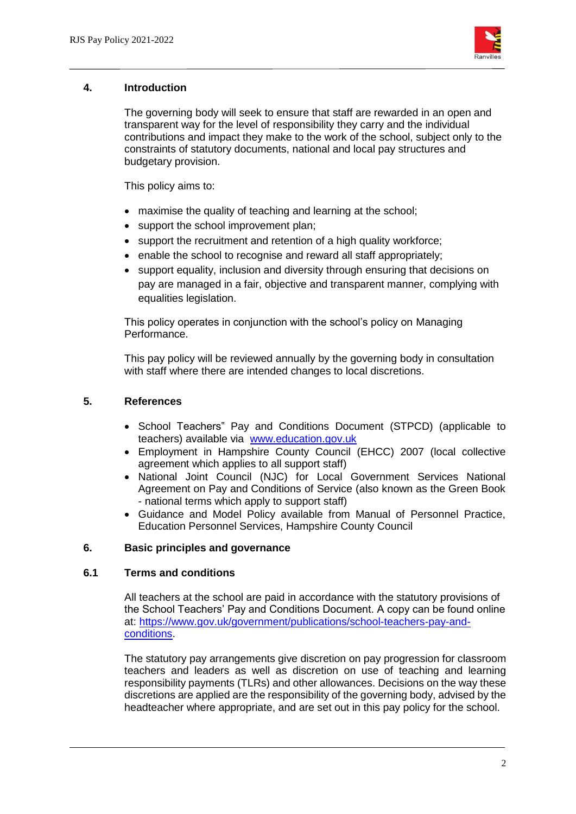

#### **4. Introduction**

The governing body will seek to ensure that staff are rewarded in an open and transparent way for the level of responsibility they carry and the individual contributions and impact they make to the work of the school, subject only to the constraints of statutory documents, national and local pay structures and budgetary provision.

This policy aims to:

- maximise the quality of teaching and learning at the school;
- support the school improvement plan;
- support the recruitment and retention of a high quality workforce;
- enable the school to recognise and reward all staff appropriately:
- support equality, inclusion and diversity through ensuring that decisions on pay are managed in a fair, objective and transparent manner, complying with equalities legislation.

This policy operates in conjunction with the school's policy on Managing Performance.

This pay policy will be reviewed annually by the governing body in consultation with staff where there are intended changes to local discretions.

## **5. References**

- School Teachers" Pay and Conditions Document (STPCD) (applicable to teachers) available via [www.education.gov.uk](http://www.education.gov.uk/)
- Employment in Hampshire County Council (EHCC) 2007 (local collective agreement which applies to all support staff)
- National Joint Council (NJC) for Local Government Services National Agreement on Pay and Conditions of Service (also known as the Green Book - national terms which apply to support staff)
- Guidance and Model Policy available from Manual of Personnel Practice, Education Personnel Services, Hampshire County Council

## **6. Basic principles and governance**

#### **6.1 Terms and conditions**

All teachers at the school are paid in accordance with the statutory provisions of the School Teachers' Pay and Conditions Document. A copy can be found online at: [https://www.gov.uk/government/publications/school-teachers-pay-and](https://www.gov.uk/government/publications/school-teachers-pay-and-conditions)[conditions.](https://www.gov.uk/government/publications/school-teachers-pay-and-conditions)

The statutory pay arrangements give discretion on pay progression for classroom teachers and leaders as well as discretion on use of teaching and learning responsibility payments (TLRs) and other allowances. Decisions on the way these discretions are applied are the responsibility of the governing body, advised by the headteacher where appropriate, and are set out in this pay policy for the school.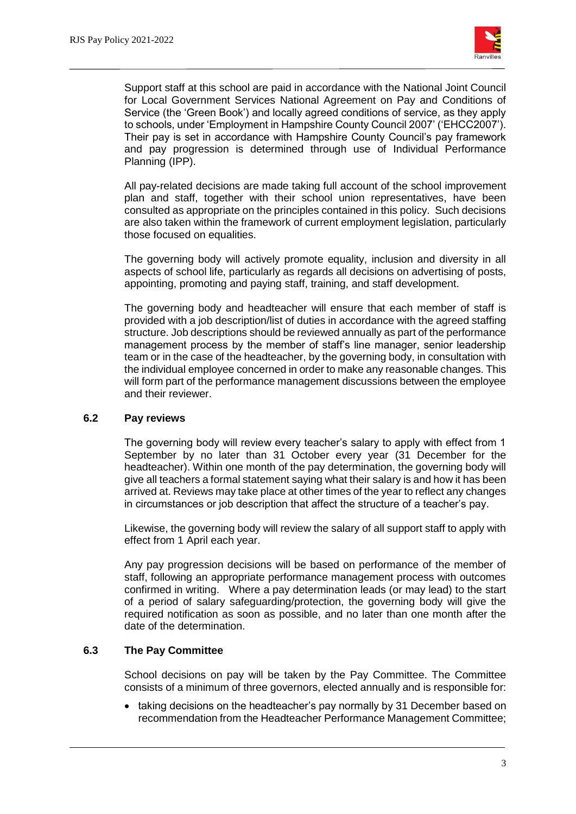

Support staff at this school are paid in accordance with the National Joint Council for Local Government Services National Agreement on Pay and Conditions of Service (the 'Green Book') and locally agreed conditions of service, as they apply to schools, under 'Employment in Hampshire County Council 2007' ('EHCC2007'). Their pay is set in accordance with Hampshire County Council's pay framework and pay progression is determined through use of Individual Performance Planning (IPP).

All pay-related decisions are made taking full account of the school improvement plan and staff, together with their school union representatives, have been consulted as appropriate on the principles contained in this policy. Such decisions are also taken within the framework of current employment legislation, particularly those focused on equalities.

The governing body will actively promote equality, inclusion and diversity in all aspects of school life, particularly as regards all decisions on advertising of posts, appointing, promoting and paying staff, training, and staff development.

The governing body and headteacher will ensure that each member of staff is provided with a job description/list of duties in accordance with the agreed staffing structure. Job descriptions should be reviewed annually as part of the performance management process by the member of staff's line manager, senior leadership team or in the case of the headteacher, by the governing body, in consultation with the individual employee concerned in order to make any reasonable changes. This will form part of the performance management discussions between the employee and their reviewer.

#### **6.2 Pay reviews**

The governing body will review every teacher's salary to apply with effect from 1 September by no later than 31 October every year (31 December for the headteacher). Within one month of the pay determination, the governing body will give all teachers a formal statement saying what their salary is and how it has been arrived at. Reviews may take place at other times of the year to reflect any changes in circumstances or job description that affect the structure of a teacher's pay.

Likewise, the governing body will review the salary of all support staff to apply with effect from 1 April each year.

Any pay progression decisions will be based on performance of the member of staff, following an appropriate performance management process with outcomes confirmed in writing. Where a pay determination leads (or may lead) to the start of a period of salary safeguarding/protection, the governing body will give the required notification as soon as possible, and no later than one month after the date of the determination.

## **6.3 The Pay Committee**

School decisions on pay will be taken by the Pay Committee. The Committee consists of a minimum of three governors, elected annually and is responsible for:

• taking decisions on the headteacher's pay normally by 31 December based on recommendation from the Headteacher Performance Management Committee;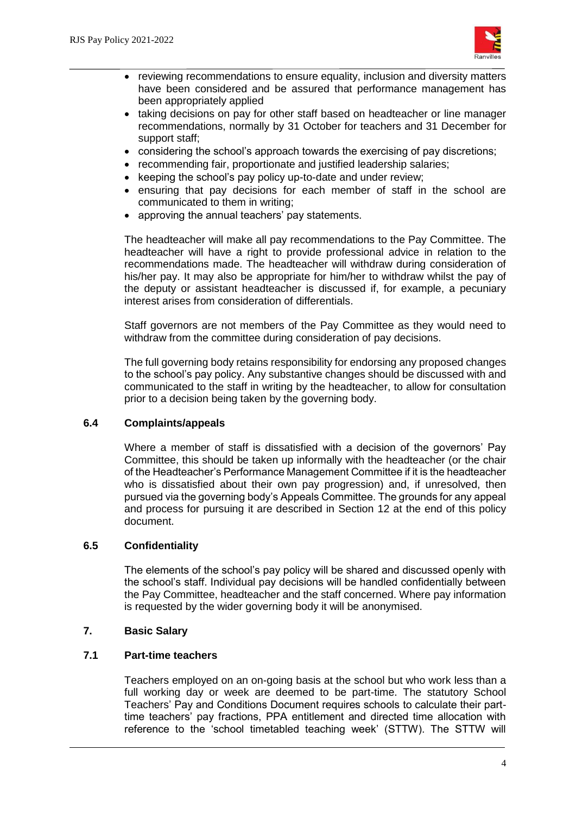

- reviewing recommendations to ensure equality, inclusion and diversity matters have been considered and be assured that performance management has been appropriately applied
- taking decisions on pay for other staff based on headteacher or line manager recommendations, normally by 31 October for teachers and 31 December for support staff;
- considering the school's approach towards the exercising of pay discretions;
- recommending fair, proportionate and justified leadership salaries;
- $\bullet$  keeping the school's pay policy up-to-date and under review;
- ensuring that pay decisions for each member of staff in the school are communicated to them in writing;
- approving the annual teachers' pay statements.

The headteacher will make all pay recommendations to the Pay Committee. The headteacher will have a right to provide professional advice in relation to the recommendations made. The headteacher will withdraw during consideration of his/her pay. It may also be appropriate for him/her to withdraw whilst the pay of the deputy or assistant headteacher is discussed if, for example, a pecuniary interest arises from consideration of differentials.

Staff governors are not members of the Pay Committee as they would need to withdraw from the committee during consideration of pay decisions.

The full governing body retains responsibility for endorsing any proposed changes to the school's pay policy. Any substantive changes should be discussed with and communicated to the staff in writing by the headteacher, to allow for consultation prior to a decision being taken by the governing body.

## **6.4 Complaints/appeals**

Where a member of staff is dissatisfied with a decision of the governors' Pay Committee, this should be taken up informally with the headteacher (or the chair of the Headteacher's Performance Management Committee if it is the headteacher who is dissatisfied about their own pay progression) and, if unresolved, then pursued via the governing body's Appeals Committee. The grounds for any appeal and process for pursuing it are described in Section 12 at the end of this policy document.

## **6.5 Confidentiality**

The elements of the school's pay policy will be shared and discussed openly with the school's staff. Individual pay decisions will be handled confidentially between the Pay Committee, headteacher and the staff concerned. Where pay information is requested by the wider governing body it will be anonymised.

#### **7. Basic Salary**

## **7.1 Part-time teachers**

Teachers employed on an on-going basis at the school but who work less than a full working day or week are deemed to be part-time. The statutory School Teachers' Pay and Conditions Document requires schools to calculate their parttime teachers' pay fractions, PPA entitlement and directed time allocation with reference to the 'school timetabled teaching week' (STTW). The STTW will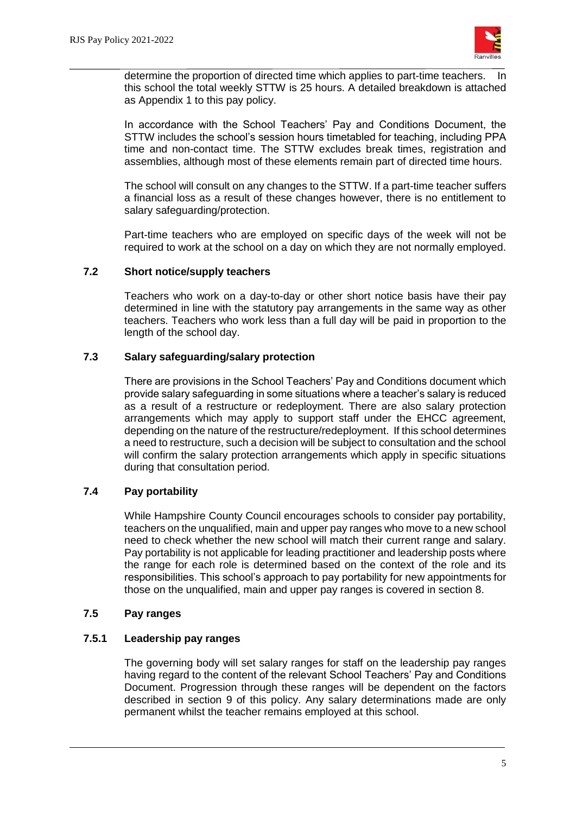

determine the proportion of directed time which applies to part-time teachers. In this school the total weekly STTW is 25 hours. A detailed breakdown is attached as Appendix 1 to this pay policy.

In accordance with the School Teachers' Pay and Conditions Document, the STTW includes the school's session hours timetabled for teaching, including PPA time and non-contact time. The STTW excludes break times, registration and assemblies, although most of these elements remain part of directed time hours.

The school will consult on any changes to the STTW. If a part-time teacher suffers a financial loss as a result of these changes however, there is no entitlement to salary safeguarding/protection.

Part-time teachers who are employed on specific days of the week will not be required to work at the school on a day on which they are not normally employed.

#### **7.2 Short notice/supply teachers**

Teachers who work on a day-to-day or other short notice basis have their pay determined in line with the statutory pay arrangements in the same way as other teachers. Teachers who work less than a full day will be paid in proportion to the length of the school day.

## **7.3 Salary safeguarding/salary protection**

There are provisions in the School Teachers' Pay and Conditions document which provide salary safeguarding in some situations where a teacher's salary is reduced as a result of a restructure or redeployment. There are also salary protection arrangements which may apply to support staff under the EHCC agreement, depending on the nature of the restructure/redeployment. If this school determines a need to restructure, such a decision will be subject to consultation and the school will confirm the salary protection arrangements which apply in specific situations during that consultation period.

## **7.4 Pay portability**

While Hampshire County Council encourages schools to consider pay portability, teachers on the unqualified, main and upper pay ranges who move to a new school need to check whether the new school will match their current range and salary. Pay portability is not applicable for leading practitioner and leadership posts where the range for each role is determined based on the context of the role and its responsibilities. This school's approach to pay portability for new appointments for those on the unqualified, main and upper pay ranges is covered in section 8.

## **7.5 Pay ranges**

#### **7.5.1 Leadership pay ranges**

The governing body will set salary ranges for staff on the leadership pay ranges having regard to the content of the relevant School Teachers' Pay and Conditions Document. Progression through these ranges will be dependent on the factors described in section 9 of this policy. Any salary determinations made are only permanent whilst the teacher remains employed at this school.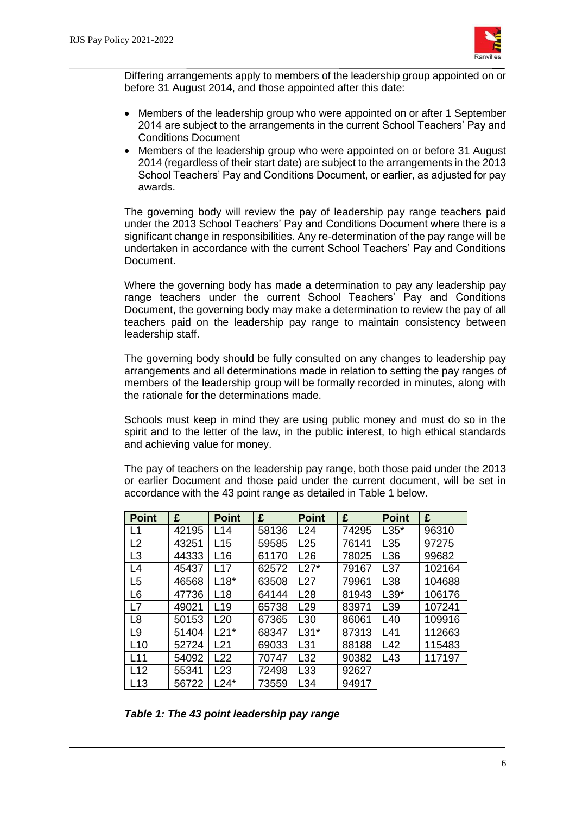

Differing arrangements apply to members of the leadership group appointed on or before 31 August 2014, and those appointed after this date:

- Members of the leadership group who were appointed on or after 1 September 2014 are subject to the arrangements in the current School Teachers' Pay and Conditions Document
- Members of the leadership group who were appointed on or before 31 August 2014 (regardless of their start date) are subject to the arrangements in the 2013 School Teachers' Pay and Conditions Document, or earlier, as adjusted for pay awards.

The governing body will review the pay of leadership pay range teachers paid under the 2013 School Teachers' Pay and Conditions Document where there is a significant change in responsibilities. Any re-determination of the pay range will be undertaken in accordance with the current School Teachers' Pay and Conditions Document.

Where the governing body has made a determination to pay any leadership pay range teachers under the current School Teachers' Pay and Conditions Document, the governing body may make a determination to review the pay of all teachers paid on the leadership pay range to maintain consistency between leadership staff.

The governing body should be fully consulted on any changes to leadership pay arrangements and all determinations made in relation to setting the pay ranges of members of the leadership group will be formally recorded in minutes, along with the rationale for the determinations made.

Schools must keep in mind they are using public money and must do so in the spirit and to the letter of the law, in the public interest, to high ethical standards and achieving value for money.

The pay of teachers on the leadership pay range, both those paid under the 2013 or earlier Document and those paid under the current document, will be set in accordance with the 43 point range as detailed in Table 1 below.

| <b>Point</b>    | £     | <b>Point</b>    | £     | <b>Point</b>    | £     | <b>Point</b>    | £      |
|-----------------|-------|-----------------|-------|-----------------|-------|-----------------|--------|
| L1              | 42195 | L14             | 58136 | L24             | 74295 | $L35*$          | 96310  |
| L2              | 43251 | L15             | 59585 | L25             | 76141 | L35             | 97275  |
| L3              | 44333 | L <sub>16</sub> | 61170 | L <sub>26</sub> | 78025 | L36             | 99682  |
| L4              | 45437 | L17             | 62572 | $L27*$          | 79167 | L <sub>37</sub> | 102164 |
| L <sub>5</sub>  | 46568 | $L18*$          | 63508 | L27             | 79961 | L38             | 104688 |
| L <sub>6</sub>  | 47736 | L <sub>18</sub> | 64144 | L <sub>28</sub> | 81943 | $L39*$          | 106176 |
| L7              | 49021 | L <sub>19</sub> | 65738 | L <sub>29</sub> | 83971 | L <sub>39</sub> | 107241 |
| L <sub>8</sub>  | 50153 | L20             | 67365 | L30             | 86061 | L40             | 109916 |
| L <sub>9</sub>  | 51404 | $L21*$          | 68347 | $L31*$          | 87313 | L41             | 112663 |
| L10             | 52724 | L21             | 69033 | L31             | 88188 | L42             | 115483 |
| L <sub>11</sub> | 54092 | L22             | 70747 | L32             | 90382 | L43             | 117197 |
| L12             | 55341 | L23             | 72498 | L33             | 92627 |                 |        |
| L <sub>13</sub> | 56722 | $-24^*$         | 73559 | L34             | 94917 |                 |        |

*Table 1: The 43 point leadership pay range*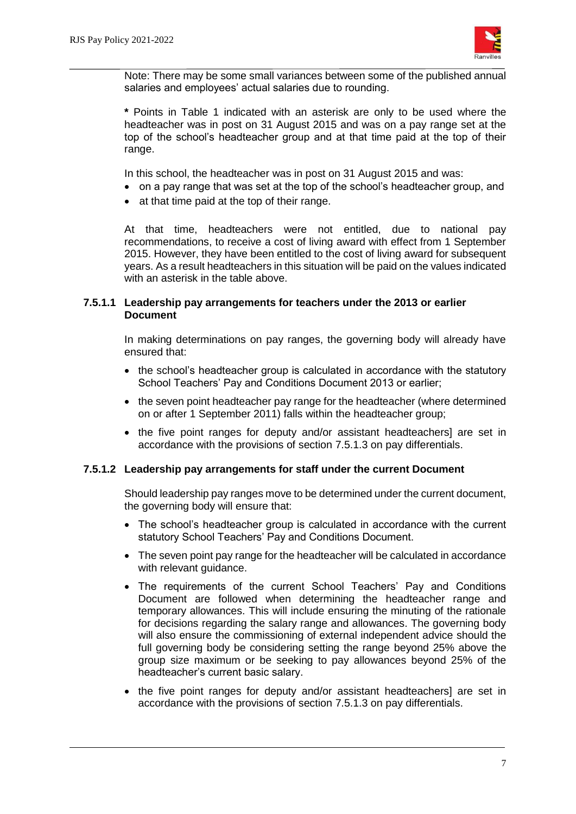

Note: There may be some small variances between some of the published annual salaries and employees' actual salaries due to rounding.

**\*** Points in Table 1 indicated with an asterisk are only to be used where the headteacher was in post on 31 August 2015 and was on a pay range set at the top of the school's headteacher group and at that time paid at the top of their range.

In this school, the headteacher was in post on 31 August 2015 and was:

- on a pay range that was set at the top of the school's headteacher group, and
- at that time paid at the top of their range.

At that time, headteachers were not entitled, due to national pay recommendations, to receive a cost of living award with effect from 1 September 2015. However, they have been entitled to the cost of living award for subsequent years. As a result headteachers in this situation will be paid on the values indicated with an asterisk in the table above.

#### **7.5.1.1 Leadership pay arrangements for teachers under the 2013 or earlier Document**

In making determinations on pay ranges, the governing body will already have ensured that:

- the school's headteacher group is calculated in accordance with the statutory School Teachers' Pay and Conditions Document 2013 or earlier;
- the seven point headteacher pay range for the headteacher (where determined on or after 1 September 2011) falls within the headteacher group;
- the five point ranges for deputy and/or assistant headteachers] are set in accordance with the provisions of section 7.5.1.3 on pay differentials.

#### **7.5.1.2 Leadership pay arrangements for staff under the current Document**

Should leadership pay ranges move to be determined under the current document, the governing body will ensure that:

- The school's headteacher group is calculated in accordance with the current statutory School Teachers' Pay and Conditions Document.
- The seven point pay range for the headteacher will be calculated in accordance with relevant guidance.
- The requirements of the current School Teachers' Pay and Conditions Document are followed when determining the headteacher range and temporary allowances. This will include ensuring the minuting of the rationale for decisions regarding the salary range and allowances. The governing body will also ensure the commissioning of external independent advice should the full governing body be considering setting the range beyond 25% above the group size maximum or be seeking to pay allowances beyond 25% of the headteacher's current basic salary.
- the five point ranges for deputy and/or assistant headteachers] are set in accordance with the provisions of section 7.5.1.3 on pay differentials.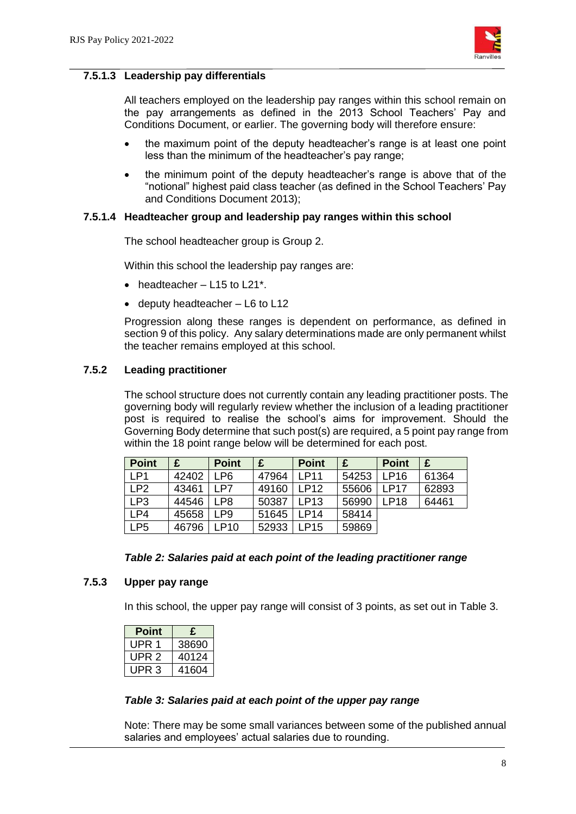

#### **7.5.1.3 Leadership pay differentials**

All teachers employed on the leadership pay ranges within this school remain on the pay arrangements as defined in the 2013 School Teachers' Pay and Conditions Document, or earlier. The governing body will therefore ensure:

- the maximum point of the deputy headteacher's range is at least one point less than the minimum of the headteacher's pay range;
- the minimum point of the deputy headteacher's range is above that of the "notional" highest paid class teacher (as defined in the School Teachers' Pay and Conditions Document 2013);

#### **7.5.1.4 Headteacher group and leadership pay ranges within this school**

The school headteacher group is Group 2.

Within this school the leadership pay ranges are:

- $\bullet$  headteacher L15 to L21\*.
- $\bullet$  deputy headteacher  $-$  L6 to L12

Progression along these ranges is dependent on performance, as defined in section 9 of this policy. Any salary determinations made are only permanent whilst the teacher remains employed at this school.

#### **7.5.2 Leading practitioner**

The school structure does not currently contain any leading practitioner posts. The governing body will regularly review whether the inclusion of a leading practitioner post is required to realise the school's aims for improvement. Should the Governing Body determine that such post(s) are required, a 5 point pay range from within the 18 point range below will be determined for each post.

| Point           |       | <b>Point</b>    | £     | <b>Point</b>      | £     | <b>Point</b>      | £     |
|-----------------|-------|-----------------|-------|-------------------|-------|-------------------|-------|
| LP <sub>1</sub> | 42402 | LP6             | 47964 | I P <sub>11</sub> | 54253 | LP16              | 61364 |
| LP <sub>2</sub> | 43461 | I P7            | 49160 | <b>LP12</b>       | 55606 | I P <sub>17</sub> | 62893 |
| LP3             | 44546 | LP <sub>8</sub> | 50387 | LP13              | 56990 | <b>LP18</b>       | 64461 |
| $\mathsf{LP4}$  | 45658 | LP <sub>9</sub> | 51645 | LP14              | 58414 |                   |       |
| LP <sub>5</sub> | 46796 | LP10            | 52933 | <b>LP15</b>       | 59869 |                   |       |

#### *Table 2: Salaries paid at each point of the leading practitioner range*

#### **7.5.3 Upper pay range**

In this school, the upper pay range will consist of 3 points, as set out in Table 3.

| Point | £     |
|-------|-------|
| UPR 1 | 38690 |
| UPR 2 | 40124 |
| UPR 3 | 41604 |

#### *Table 3: Salaries paid at each point of the upper pay range*

Note: There may be some small variances between some of the published annual salaries and employees' actual salaries due to rounding.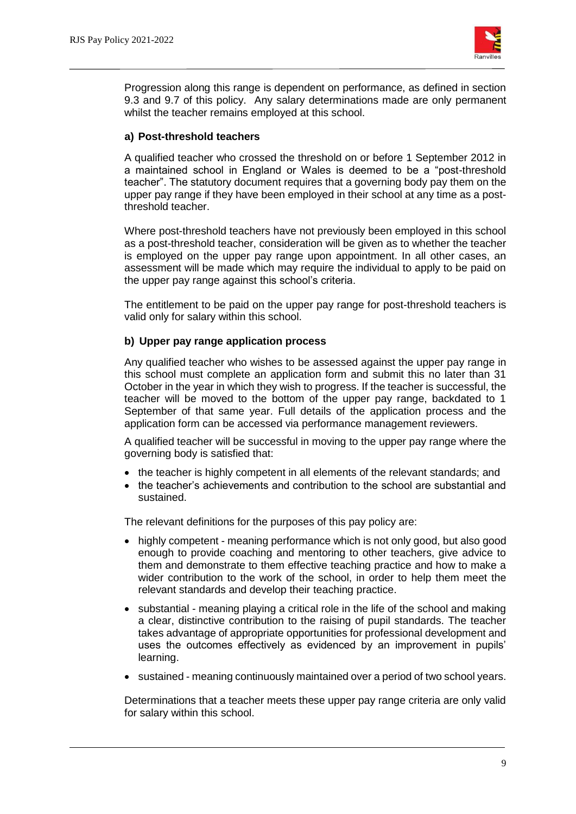

Progression along this range is dependent on performance, as defined in section 9.3 and 9.7 of this policy. Any salary determinations made are only permanent whilst the teacher remains employed at this school.

#### **a) Post-threshold teachers**

A qualified teacher who crossed the threshold on or before 1 September 2012 in a maintained school in England or Wales is deemed to be a "post-threshold teacher". The statutory document requires that a governing body pay them on the upper pay range if they have been employed in their school at any time as a postthreshold teacher.

Where post-threshold teachers have not previously been employed in this school as a post-threshold teacher, consideration will be given as to whether the teacher is employed on the upper pay range upon appointment. In all other cases, an assessment will be made which may require the individual to apply to be paid on the upper pay range against this school's criteria.

The entitlement to be paid on the upper pay range for post-threshold teachers is valid only for salary within this school.

#### **b) Upper pay range application process**

Any qualified teacher who wishes to be assessed against the upper pay range in this school must complete an application form and submit this no later than 31 October in the year in which they wish to progress. If the teacher is successful, the teacher will be moved to the bottom of the upper pay range, backdated to 1 September of that same year. Full details of the application process and the application form can be accessed via performance management reviewers.

A qualified teacher will be successful in moving to the upper pay range where the governing body is satisfied that:

- the teacher is highly competent in all elements of the relevant standards; and
- the teacher's achievements and contribution to the school are substantial and sustained.

The relevant definitions for the purposes of this pay policy are:

- highly competent meaning performance which is not only good, but also good enough to provide coaching and mentoring to other teachers, give advice to them and demonstrate to them effective teaching practice and how to make a wider contribution to the work of the school, in order to help them meet the relevant standards and develop their teaching practice.
- substantial meaning playing a critical role in the life of the school and making a clear, distinctive contribution to the raising of pupil standards. The teacher takes advantage of appropriate opportunities for professional development and uses the outcomes effectively as evidenced by an improvement in pupils' learning.
- sustained meaning continuously maintained over a period of two school years.

Determinations that a teacher meets these upper pay range criteria are only valid for salary within this school.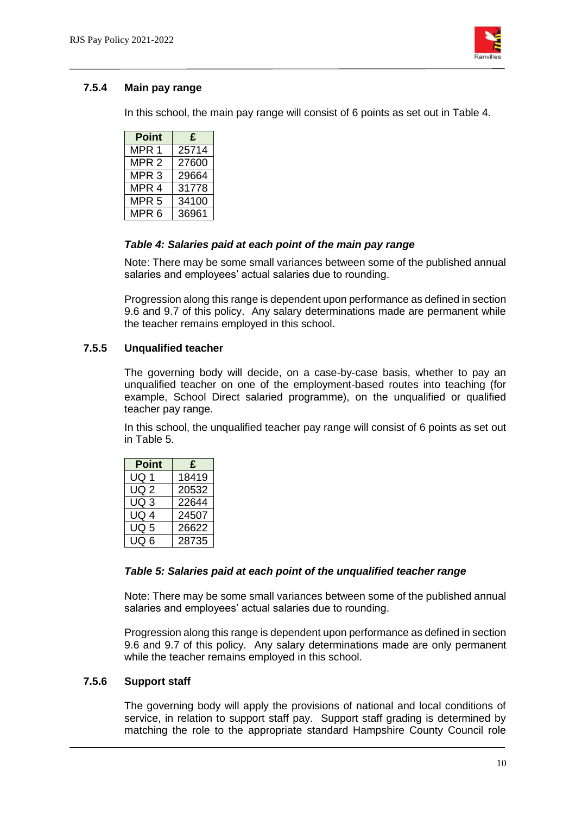

## **7.5.4 Main pay range**

In this school, the main pay range will consist of 6 points as set out in Table 4.

| Point            | £     |
|------------------|-------|
| MPR <sub>1</sub> | 25714 |
| MPR 2            | 27600 |
| MPR <sub>3</sub> | 29664 |
| MPR <sub>4</sub> | 31778 |
| MPR 5            | 34100 |
| MPR <sub>6</sub> | 36961 |

## *Table 4: Salaries paid at each point of the main pay range*

Note: There may be some small variances between some of the published annual salaries and employees' actual salaries due to rounding.

Progression along this range is dependent upon performance as defined in section 9.6 and 9.7 of this policy. Any salary determinations made are permanent while the teacher remains employed in this school.

#### **7.5.5 Unqualified teacher**

The governing body will decide, on a case-by-case basis, whether to pay an unqualified teacher on one of the employment-based routes into teaching (for example, School Direct salaried programme), on the unqualified or qualified teacher pay range.

In this school, the unqualified teacher pay range will consist of 6 points as set out in Table 5.

| Point | £     |
|-------|-------|
| UQ 1  | 18419 |
| UQ 2  | 20532 |
| UQ 3  | 22644 |
| UQ 4  | 24507 |
| UQ 5  | 26622 |
| UO 6  | 28735 |

#### *Table 5: Salaries paid at each point of the unqualified teacher range*

Note: There may be some small variances between some of the published annual salaries and employees' actual salaries due to rounding.

Progression along this range is dependent upon performance as defined in section 9.6 and 9.7 of this policy. Any salary determinations made are only permanent while the teacher remains employed in this school.

#### **7.5.6 Support staff**

The governing body will apply the provisions of national and local conditions of service, in relation to support staff pay. Support staff grading is determined by matching the role to the appropriate standard Hampshire County Council role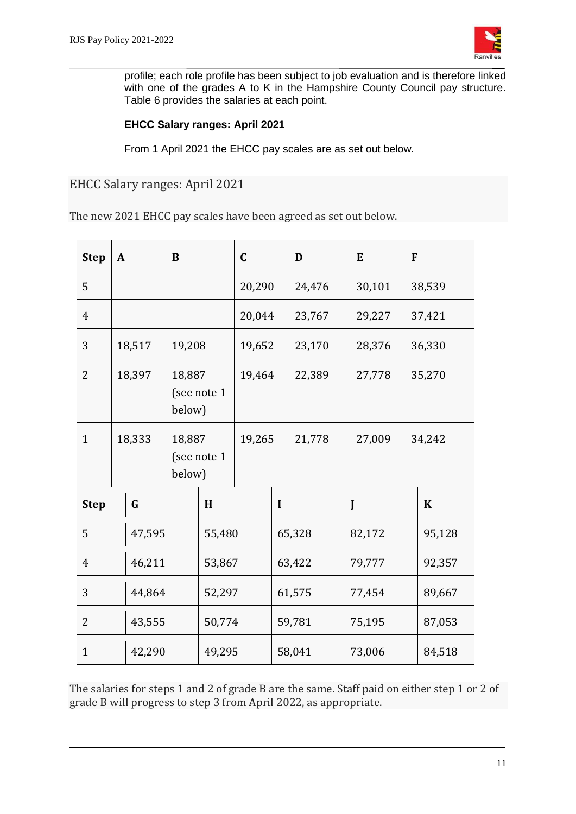

profile; each role profile has been subject to job evaluation and is therefore linked with one of the grades A to K in the Hampshire County Council pay structure. Table 6 provides the salaries at each point.

## **EHCC Salary ranges: April 2021**

From 1 April 2021 the EHCC pay scales are as set out below.

EHCC Salary ranges: April 2021

The new 2021 EHCC pay scales have been agreed as set out below.

| <b>Step</b>    | $\mathbf{A}$ |             | B                |             | $\mathbf C$ |             | D      | E      | F |             |
|----------------|--------------|-------------|------------------|-------------|-------------|-------------|--------|--------|---|-------------|
| 5              |              |             |                  |             | 20,290      |             | 24,476 | 30,101 |   | 38,539      |
| $\overline{4}$ |              |             |                  |             | 20,044      |             | 23,767 | 29,227 |   | 37,421      |
| 3              |              | 18,517      | 19,208           |             | 19,652      |             | 23,170 | 28,376 |   | 36,330      |
| $\overline{2}$ |              | 18,397      | 18,887<br>below) | (see note 1 | 19,464      |             | 22,389 | 27,778 |   | 35,270      |
| $\mathbf{1}$   |              | 18,333      | 18,887<br>below) | (see note 1 | 19,265      |             | 21,778 | 27,009 |   | 34,242      |
| <b>Step</b>    |              | $\mathbf G$ |                  | H           |             | $\mathbf I$ |        | J      |   | $\mathbf K$ |
| 5              |              | 47,595      |                  | 55,480      |             |             | 65,328 | 82,172 |   | 95,128      |
| $\overline{4}$ |              | 46,211      |                  | 53,867      |             |             | 63,422 | 79,777 |   | 92,357      |
| 3              |              | 44,864      |                  | 52,297      |             |             | 61,575 | 77,454 |   | 89,667      |
| 2              |              | 43,555      |                  | 50,774      |             |             | 59,781 | 75,195 |   | 87,053      |
| $\mathbf{1}$   |              | 42,290      |                  | 49,295      |             |             | 58,041 | 73,006 |   | 84,518      |

The salaries for steps 1 and 2 of grade B are the same. Staff paid on either step 1 or 2 of grade B will progress to step 3 from April 2022, as appropriate.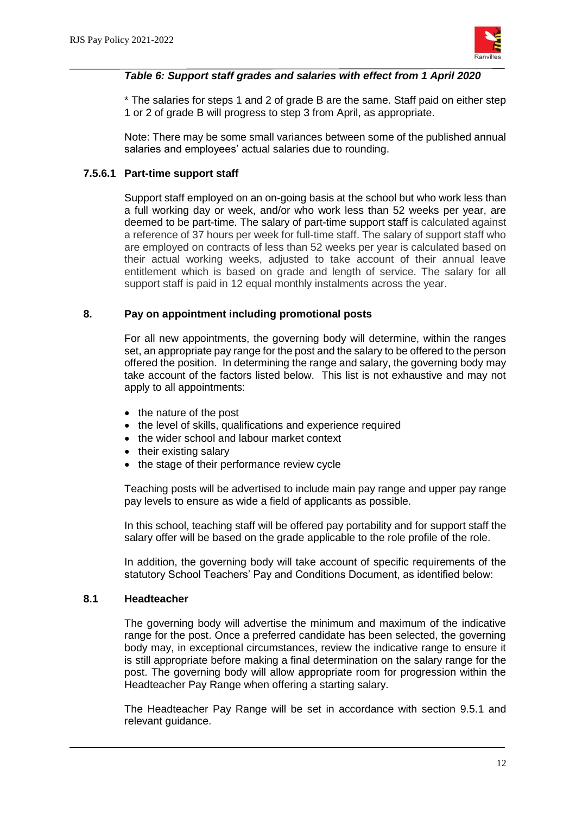

#### *Table 6: Support staff grades and salaries with effect from 1 April 2020*

\* The salaries for steps 1 and 2 of grade B are the same. Staff paid on either step 1 or 2 of grade B will progress to step 3 from April, as appropriate.

Note: There may be some small variances between some of the published annual salaries and employees' actual salaries due to rounding.

#### **7.5.6.1 Part-time support staff**

Support staff employed on an on-going basis at the school but who work less than a full working day or week, and/or who work less than 52 weeks per year, are deemed to be part-time. The salary of part-time support staff is calculated against a reference of 37 hours per week for full-time staff. The salary of support staff who are employed on contracts of less than 52 weeks per year is calculated based on their actual working weeks, adjusted to take account of their annual leave entitlement which is based on grade and length of service. The salary for all support staff is paid in 12 equal monthly instalments across the year.

#### **8. Pay on appointment including promotional posts**

For all new appointments, the governing body will determine, within the ranges set, an appropriate pay range for the post and the salary to be offered to the person offered the position. In determining the range and salary, the governing body may take account of the factors listed below. This list is not exhaustive and may not apply to all appointments:

- the nature of the post
- the level of skills, qualifications and experience required
- the wider school and labour market context
- their existing salary
- the stage of their performance review cycle

Teaching posts will be advertised to include main pay range and upper pay range pay levels to ensure as wide a field of applicants as possible.

In this school, teaching staff will be offered pay portability and for support staff the salary offer will be based on the grade applicable to the role profile of the role.

In addition, the governing body will take account of specific requirements of the statutory School Teachers' Pay and Conditions Document, as identified below:

#### **8.1 Headteacher**

The governing body will advertise the minimum and maximum of the indicative range for the post. Once a preferred candidate has been selected, the governing body may, in exceptional circumstances, review the indicative range to ensure it is still appropriate before making a final determination on the salary range for the post. The governing body will allow appropriate room for progression within the Headteacher Pay Range when offering a starting salary.

The Headteacher Pay Range will be set in accordance with section 9.5.1 and relevant guidance.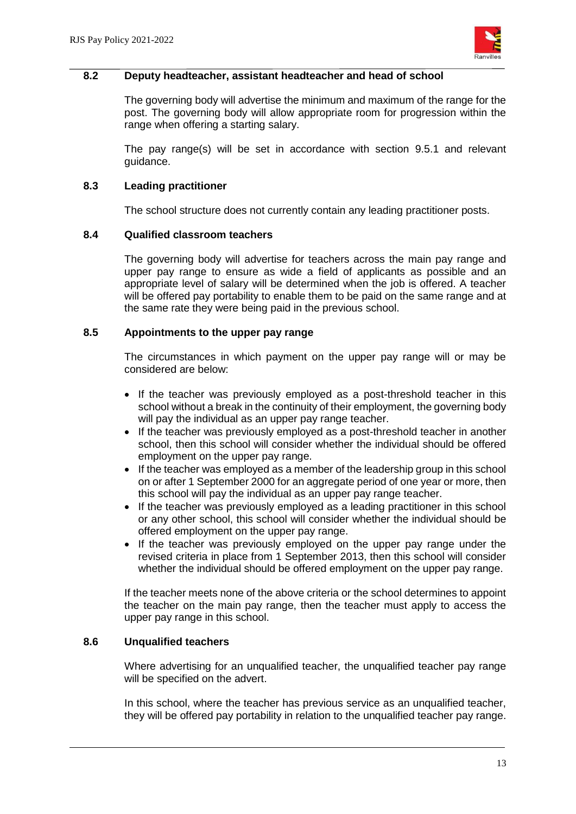

#### **8.2 Deputy headteacher, assistant headteacher and head of school**

The governing body will advertise the minimum and maximum of the range for the post. The governing body will allow appropriate room for progression within the range when offering a starting salary.

The pay range(s) will be set in accordance with section 9.5.1 and relevant guidance.

#### **8.3 Leading practitioner**

The school structure does not currently contain any leading practitioner posts.

#### **8.4 Qualified classroom teachers**

The governing body will advertise for teachers across the main pay range and upper pay range to ensure as wide a field of applicants as possible and an appropriate level of salary will be determined when the job is offered. A teacher will be offered pay portability to enable them to be paid on the same range and at the same rate they were being paid in the previous school.

#### **8.5 Appointments to the upper pay range**

The circumstances in which payment on the upper pay range will or may be considered are below:

- If the teacher was previously employed as a post-threshold teacher in this school without a break in the continuity of their employment, the governing body will pay the individual as an upper pay range teacher.
- If the teacher was previously employed as a post-threshold teacher in another school, then this school will consider whether the individual should be offered employment on the upper pay range.
- If the teacher was employed as a member of the leadership group in this school on or after 1 September 2000 for an aggregate period of one year or more, then this school will pay the individual as an upper pay range teacher.
- If the teacher was previously employed as a leading practitioner in this school or any other school, this school will consider whether the individual should be offered employment on the upper pay range.
- If the teacher was previously employed on the upper pay range under the revised criteria in place from 1 September 2013, then this school will consider whether the individual should be offered employment on the upper pay range.

If the teacher meets none of the above criteria or the school determines to appoint the teacher on the main pay range, then the teacher must apply to access the upper pay range in this school.

#### **8.6 Unqualified teachers**

Where advertising for an unqualified teacher, the unqualified teacher pay range will be specified on the advert.

In this school, where the teacher has previous service as an unqualified teacher, they will be offered pay portability in relation to the unqualified teacher pay range.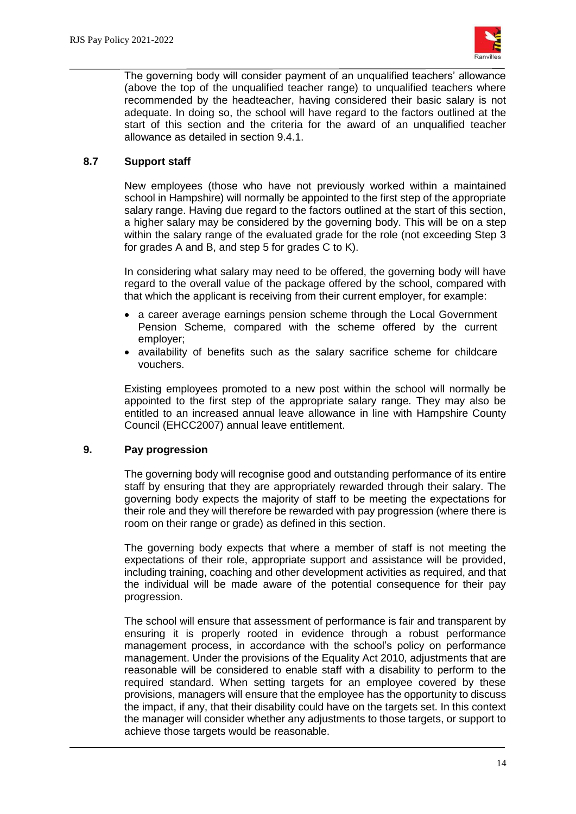

The governing body will consider payment of an unqualified teachers' allowance (above the top of the unqualified teacher range) to unqualified teachers where recommended by the headteacher, having considered their basic salary is not adequate. In doing so, the school will have regard to the factors outlined at the start of this section and the criteria for the award of an unqualified teacher allowance as detailed in section 9.4.1.

## **8.7 Support staff**

New employees (those who have not previously worked within a maintained school in Hampshire) will normally be appointed to the first step of the appropriate salary range. Having due regard to the factors outlined at the start of this section, a higher salary may be considered by the governing body. This will be on a step within the salary range of the evaluated grade for the role (not exceeding Step 3 for grades A and B, and step 5 for grades C to K).

In considering what salary may need to be offered, the governing body will have regard to the overall value of the package offered by the school, compared with that which the applicant is receiving from their current employer, for example:

- a career average earnings pension scheme through the Local Government Pension Scheme, compared with the scheme offered by the current employer;
- availability of benefits such as the salary sacrifice scheme for childcare vouchers.

Existing employees promoted to a new post within the school will normally be appointed to the first step of the appropriate salary range. They may also be entitled to an increased annual leave allowance in line with Hampshire County Council (EHCC2007) annual leave entitlement.

## **9. Pay progression**

The governing body will recognise good and outstanding performance of its entire staff by ensuring that they are appropriately rewarded through their salary. The governing body expects the majority of staff to be meeting the expectations for their role and they will therefore be rewarded with pay progression (where there is room on their range or grade) as defined in this section.

The governing body expects that where a member of staff is not meeting the expectations of their role, appropriate support and assistance will be provided, including training, coaching and other development activities as required, and that the individual will be made aware of the potential consequence for their pay progression.

The school will ensure that assessment of performance is fair and transparent by ensuring it is properly rooted in evidence through a robust performance management process, in accordance with the school's policy on performance management. Under the provisions of the Equality Act 2010, adjustments that are reasonable will be considered to enable staff with a disability to perform to the required standard. When setting targets for an employee covered by these provisions, managers will ensure that the employee has the opportunity to discuss the impact, if any, that their disability could have on the targets set. In this context the manager will consider whether any adjustments to those targets, or support to achieve those targets would be reasonable.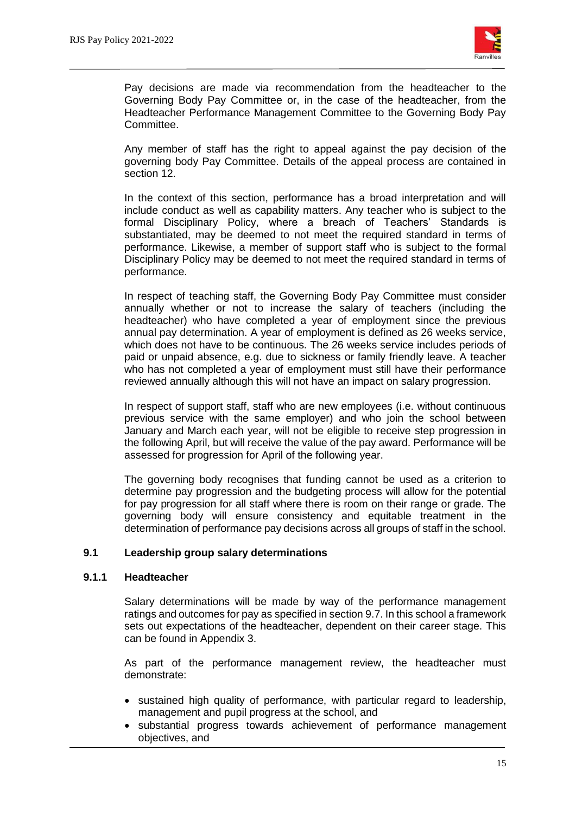

Pay decisions are made via recommendation from the headteacher to the Governing Body Pay Committee or, in the case of the headteacher, from the Headteacher Performance Management Committee to the Governing Body Pay Committee.

Any member of staff has the right to appeal against the pay decision of the governing body Pay Committee. Details of the appeal process are contained in section 12.

In the context of this section, performance has a broad interpretation and will include conduct as well as capability matters. Any teacher who is subject to the formal Disciplinary Policy, where a breach of Teachers' Standards is substantiated, may be deemed to not meet the required standard in terms of performance. Likewise, a member of support staff who is subject to the formal Disciplinary Policy may be deemed to not meet the required standard in terms of performance.

In respect of teaching staff, the Governing Body Pay Committee must consider annually whether or not to increase the salary of teachers (including the headteacher) who have completed a year of employment since the previous annual pay determination. A year of employment is defined as 26 weeks service, which does not have to be continuous. The 26 weeks service includes periods of paid or unpaid absence, e.g. due to sickness or family friendly leave. A teacher who has not completed a year of employment must still have their performance reviewed annually although this will not have an impact on salary progression.

In respect of support staff, staff who are new employees (i.e. without continuous previous service with the same employer) and who join the school between January and March each year, will not be eligible to receive step progression in the following April, but will receive the value of the pay award. Performance will be assessed for progression for April of the following year.

The governing body recognises that funding cannot be used as a criterion to determine pay progression and the budgeting process will allow for the potential for pay progression for all staff where there is room on their range or grade. The governing body will ensure consistency and equitable treatment in the determination of performance pay decisions across all groups of staff in the school.

#### **9.1 Leadership group salary determinations**

#### **9.1.1 Headteacher**

Salary determinations will be made by way of the performance management ratings and outcomes for pay as specified in section 9.7. In this school a framework sets out expectations of the headteacher, dependent on their career stage. This can be found in Appendix 3.

As part of the performance management review, the headteacher must demonstrate:

- sustained high quality of performance, with particular regard to leadership, management and pupil progress at the school, and
- substantial progress towards achievement of performance management objectives, and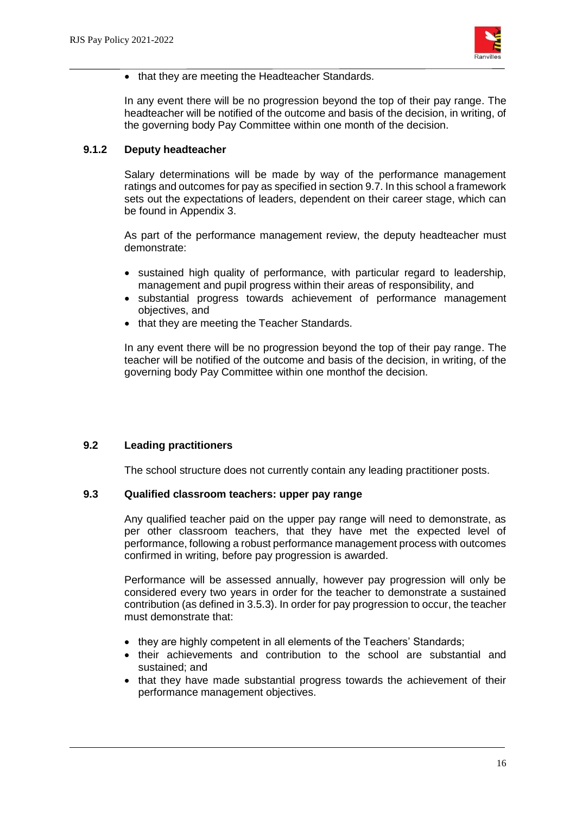

• that they are meeting the Headteacher Standards.

In any event there will be no progression beyond the top of their pay range. The headteacher will be notified of the outcome and basis of the decision, in writing, of the governing body Pay Committee within one month of the decision.

#### **9.1.2 Deputy headteacher**

Salary determinations will be made by way of the performance management ratings and outcomes for pay as specified in section 9.7. In this school a framework sets out the expectations of leaders, dependent on their career stage, which can be found in Appendix 3.

As part of the performance management review, the deputy headteacher must demonstrate:

- sustained high quality of performance, with particular regard to leadership, management and pupil progress within their areas of responsibility, and
- substantial progress towards achievement of performance management objectives, and
- that they are meeting the Teacher Standards.

In any event there will be no progression beyond the top of their pay range. The teacher will be notified of the outcome and basis of the decision, in writing, of the governing body Pay Committee within one monthof the decision.

#### **9.2 Leading practitioners**

The school structure does not currently contain any leading practitioner posts.

#### **9.3 Qualified classroom teachers: upper pay range**

Any qualified teacher paid on the upper pay range will need to demonstrate, as per other classroom teachers, that they have met the expected level of performance, following a robust performance management process with outcomes confirmed in writing, before pay progression is awarded.

Performance will be assessed annually, however pay progression will only be considered every two years in order for the teacher to demonstrate a sustained contribution (as defined in 3.5.3). In order for pay progression to occur, the teacher must demonstrate that:

- they are highly competent in all elements of the Teachers' Standards;
- their achievements and contribution to the school are substantial and sustained; and
- that they have made substantial progress towards the achievement of their performance management objectives.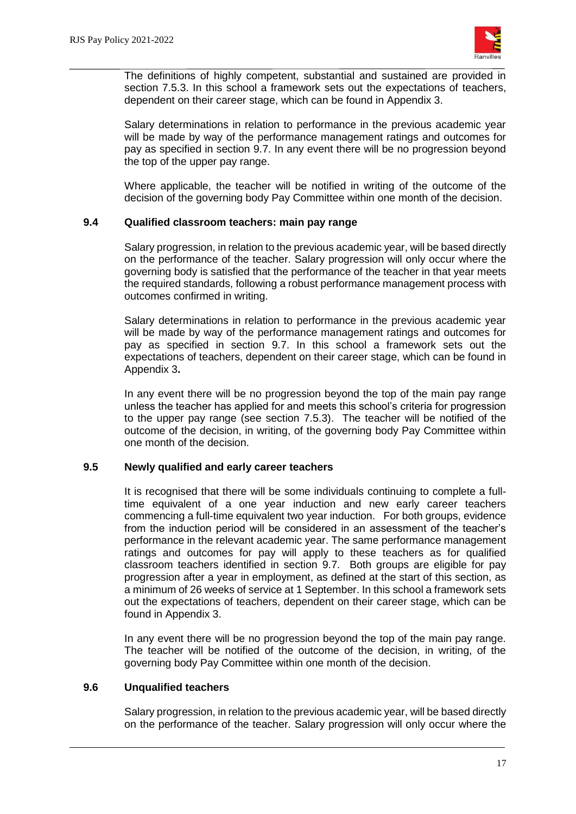

The definitions of highly competent, substantial and sustained are provided in section 7.5.3. In this school a framework sets out the expectations of teachers, dependent on their career stage, which can be found in Appendix 3.

Salary determinations in relation to performance in the previous academic year will be made by way of the performance management ratings and outcomes for pay as specified in section 9.7. In any event there will be no progression beyond the top of the upper pay range.

Where applicable, the teacher will be notified in writing of the outcome of the decision of the governing body Pay Committee within one month of the decision.

#### **9.4 Qualified classroom teachers: main pay range**

Salary progression, in relation to the previous academic year, will be based directly on the performance of the teacher. Salary progression will only occur where the governing body is satisfied that the performance of the teacher in that year meets the required standards, following a robust performance management process with outcomes confirmed in writing.

Salary determinations in relation to performance in the previous academic year will be made by way of the performance management ratings and outcomes for pay as specified in section 9.7. In this school a framework sets out the expectations of teachers, dependent on their career stage, which can be found in Appendix 3**.**

In any event there will be no progression beyond the top of the main pay range unless the teacher has applied for and meets this school's criteria for progression to the upper pay range (see section 7.5.3). The teacher will be notified of the outcome of the decision, in writing, of the governing body Pay Committee within one month of the decision.

#### **9.5 Newly qualified and early career teachers**

It is recognised that there will be some individuals continuing to complete a fulltime equivalent of a one year induction and new early career teachers commencing a full-time equivalent two year induction. For both groups, evidence from the induction period will be considered in an assessment of the teacher's performance in the relevant academic year. The same performance management ratings and outcomes for pay will apply to these teachers as for qualified classroom teachers identified in section 9.7. Both groups are eligible for pay progression after a year in employment, as defined at the start of this section, as a minimum of 26 weeks of service at 1 September. In this school a framework sets out the expectations of teachers, dependent on their career stage, which can be found in Appendix 3.

In any event there will be no progression beyond the top of the main pay range. The teacher will be notified of the outcome of the decision, in writing, of the governing body Pay Committee within one month of the decision.

#### **9.6 Unqualified teachers**

Salary progression, in relation to the previous academic year, will be based directly on the performance of the teacher. Salary progression will only occur where the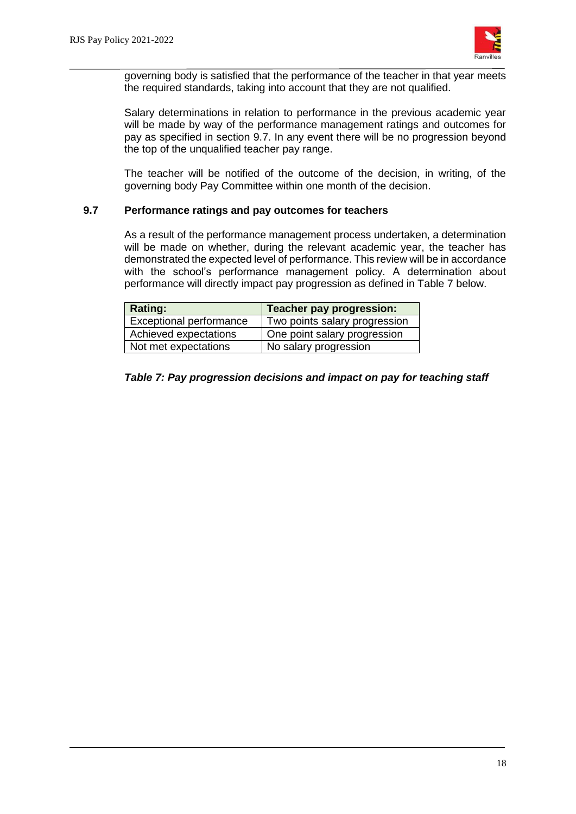

governing body is satisfied that the performance of the teacher in that year meets the required standards, taking into account that they are not qualified.

Salary determinations in relation to performance in the previous academic year will be made by way of the performance management ratings and outcomes for pay as specified in section 9.7. In any event there will be no progression beyond the top of the unqualified teacher pay range.

The teacher will be notified of the outcome of the decision, in writing, of the governing body Pay Committee within one month of the decision.

#### **9.7 Performance ratings and pay outcomes for teachers**

As a result of the performance management process undertaken, a determination will be made on whether, during the relevant academic year, the teacher has demonstrated the expected level of performance. This review will be in accordance with the school's performance management policy. A determination about performance will directly impact pay progression as defined in Table 7 below.

| Rating:                 | Teacher pay progression:      |
|-------------------------|-------------------------------|
| Exceptional performance | Two points salary progression |
| Achieved expectations   | One point salary progression  |
| Not met expectations    | No salary progression         |

#### *Table 7: Pay progression decisions and impact on pay for teaching staff*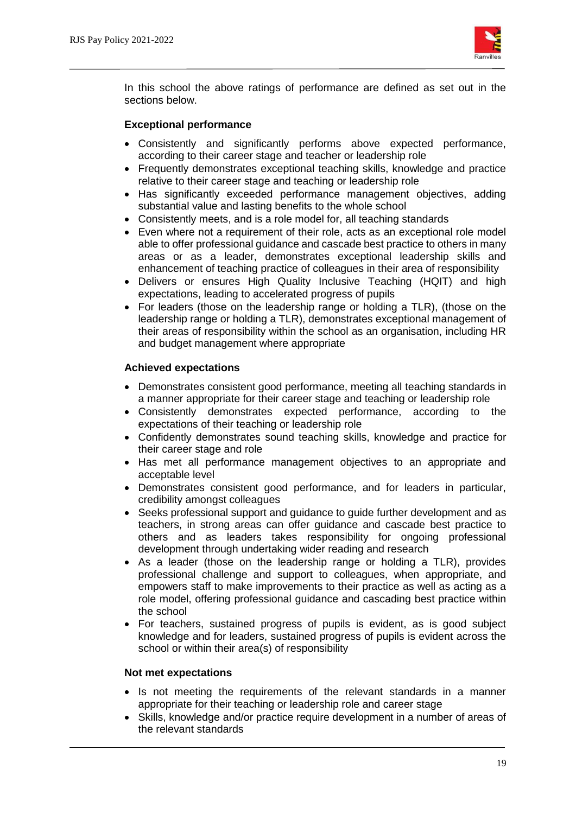

In this school the above ratings of performance are defined as set out in the sections below.

#### **Exceptional performance**

- Consistently and significantly performs above expected performance, according to their career stage and teacher or leadership role
- Frequently demonstrates exceptional teaching skills, knowledge and practice relative to their career stage and teaching or leadership role
- Has significantly exceeded performance management objectives, adding substantial value and lasting benefits to the whole school
- Consistently meets, and is a role model for, all teaching standards
- Even where not a requirement of their role, acts as an exceptional role model able to offer professional guidance and cascade best practice to others in many areas or as a leader, demonstrates exceptional leadership skills and enhancement of teaching practice of colleagues in their area of responsibility
- Delivers or ensures High Quality Inclusive Teaching (HQIT) and high expectations, leading to accelerated progress of pupils
- For leaders (those on the leadership range or holding a TLR), (those on the leadership range or holding a TLR), demonstrates exceptional management of their areas of responsibility within the school as an organisation, including HR and budget management where appropriate

#### **Achieved expectations**

- Demonstrates consistent good performance, meeting all teaching standards in a manner appropriate for their career stage and teaching or leadership role
- Consistently demonstrates expected performance, according to the expectations of their teaching or leadership role
- Confidently demonstrates sound teaching skills, knowledge and practice for their career stage and role
- Has met all performance management objectives to an appropriate and acceptable level
- Demonstrates consistent good performance, and for leaders in particular, credibility amongst colleagues
- Seeks professional support and guidance to guide further development and as teachers, in strong areas can offer guidance and cascade best practice to others and as leaders takes responsibility for ongoing professional development through undertaking wider reading and research
- As a leader (those on the leadership range or holding a TLR), provides professional challenge and support to colleagues, when appropriate, and empowers staff to make improvements to their practice as well as acting as a role model, offering professional guidance and cascading best practice within the school
- For teachers, sustained progress of pupils is evident, as is good subject knowledge and for leaders, sustained progress of pupils is evident across the school or within their area(s) of responsibility

#### **Not met expectations**

- Is not meeting the requirements of the relevant standards in a manner appropriate for their teaching or leadership role and career stage
- Skills, knowledge and/or practice require development in a number of areas of the relevant standards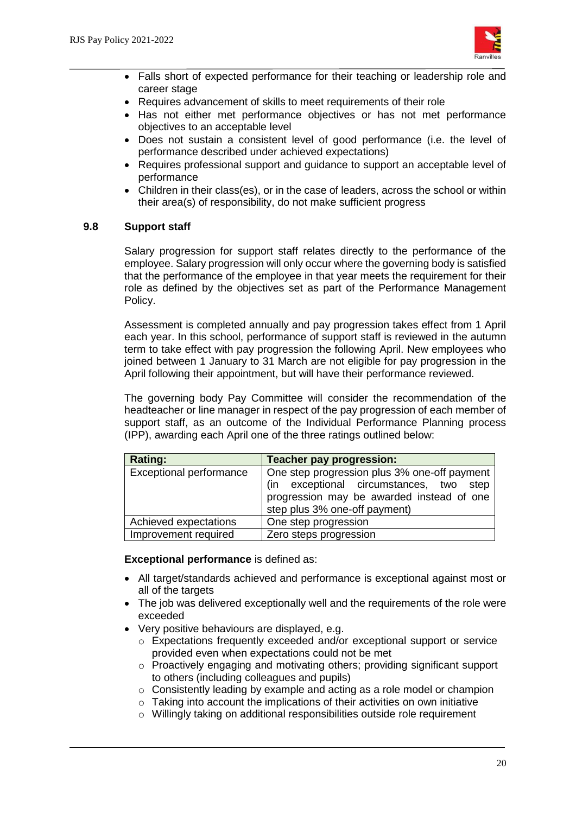

- Falls short of expected performance for their teaching or leadership role and career stage
- Requires advancement of skills to meet requirements of their role
- Has not either met performance objectives or has not met performance objectives to an acceptable level
- Does not sustain a consistent level of good performance (i.e. the level of performance described under achieved expectations)
- Requires professional support and guidance to support an acceptable level of performance
- Children in their class(es), or in the case of leaders, across the school or within their area(s) of responsibility, do not make sufficient progress

#### **9.8 Support staff**

Salary progression for support staff relates directly to the performance of the employee. Salary progression will only occur where the governing body is satisfied that the performance of the employee in that year meets the requirement for their role as defined by the objectives set as part of the Performance Management Policy.

Assessment is completed annually and pay progression takes effect from 1 April each year. In this school, performance of support staff is reviewed in the autumn term to take effect with pay progression the following April. New employees who joined between 1 January to 31 March are not eligible for pay progression in the April following their appointment, but will have their performance reviewed.

The governing body Pay Committee will consider the recommendation of the headteacher or line manager in respect of the pay progression of each member of support staff, as an outcome of the Individual Performance Planning process (IPP), awarding each April one of the three ratings outlined below:

| Rating:                        | <b>Teacher pay progression:</b>                                                                                                                                       |
|--------------------------------|-----------------------------------------------------------------------------------------------------------------------------------------------------------------------|
| <b>Exceptional performance</b> | One step progression plus 3% one-off payment<br>(in exceptional circumstances, two step<br>progression may be awarded instead of one<br>step plus 3% one-off payment) |
| Achieved expectations          | One step progression                                                                                                                                                  |
| Improvement required           | Zero steps progression                                                                                                                                                |

**Exceptional performance** is defined as:

- All target/standards achieved and performance is exceptional against most or all of the targets
- The job was delivered exceptionally well and the requirements of the role were exceeded
- Very positive behaviours are displayed, e.g.
	- o Expectations frequently exceeded and/or exceptional support or service provided even when expectations could not be met
	- o Proactively engaging and motivating others; providing significant support to others (including colleagues and pupils)
	- o Consistently leading by example and acting as a role model or champion
	- $\circ$  Taking into account the implications of their activities on own initiative
	- o Willingly taking on additional responsibilities outside role requirement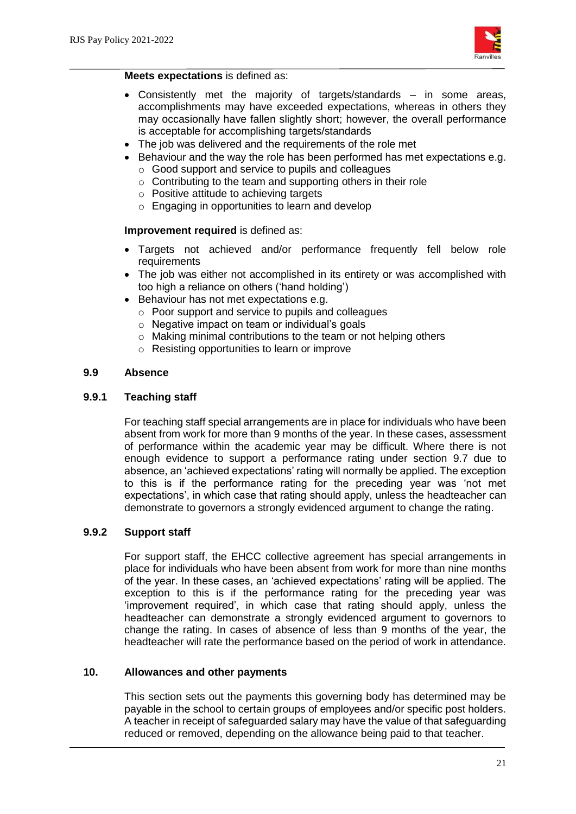

#### **Meets expectations** is defined as:

- Consistently met the majority of targets/standards in some areas, accomplishments may have exceeded expectations, whereas in others they may occasionally have fallen slightly short; however, the overall performance is acceptable for accomplishing targets/standards
- The job was delivered and the requirements of the role met
- Behaviour and the way the role has been performed has met expectations e.g.
	- o Good support and service to pupils and colleagues
	- o Contributing to the team and supporting others in their role
	- o Positive attitude to achieving targets
	- o Engaging in opportunities to learn and develop

## **Improvement required** is defined as:

- Targets not achieved and/or performance frequently fell below role requirements
- The job was either not accomplished in its entirety or was accomplished with too high a reliance on others ('hand holding')
- Behaviour has not met expectations e.g.
	- o Poor support and service to pupils and colleagues
	- o Negative impact on team or individual's goals
	- $\circ$  Making minimal contributions to the team or not helping others
	- o Resisting opportunities to learn or improve

#### **9.9 Absence**

#### **9.9.1 Teaching staff**

For teaching staff special arrangements are in place for individuals who have been absent from work for more than 9 months of the year. In these cases, assessment of performance within the academic year may be difficult. Where there is not enough evidence to support a performance rating under section 9.7 due to absence, an 'achieved expectations' rating will normally be applied. The exception to this is if the performance rating for the preceding year was 'not met expectations', in which case that rating should apply, unless the headteacher can demonstrate to governors a strongly evidenced argument to change the rating.

#### **9.9.2 Support staff**

For support staff, the EHCC collective agreement has special arrangements in place for individuals who have been absent from work for more than nine months of the year. In these cases, an 'achieved expectations' rating will be applied. The exception to this is if the performance rating for the preceding year was 'improvement required', in which case that rating should apply, unless the headteacher can demonstrate a strongly evidenced argument to governors to change the rating. In cases of absence of less than 9 months of the year, the headteacher will rate the performance based on the period of work in attendance.

#### **10. Allowances and other payments**

This section sets out the payments this governing body has determined may be payable in the school to certain groups of employees and/or specific post holders. A teacher in receipt of safeguarded salary may have the value of that safeguarding reduced or removed, depending on the allowance being paid to that teacher.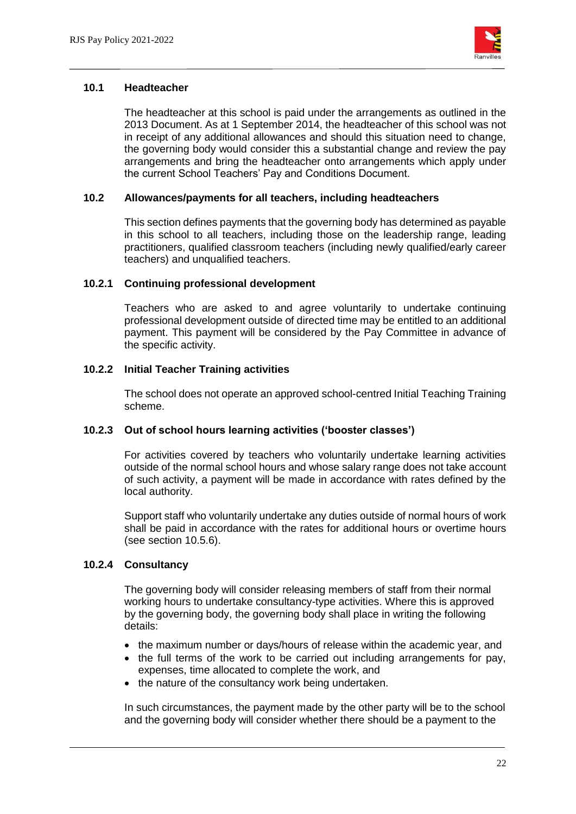

#### **10.1 Headteacher**

The headteacher at this school is paid under the arrangements as outlined in the 2013 Document. As at 1 September 2014, the headteacher of this school was not in receipt of any additional allowances and should this situation need to change, the governing body would consider this a substantial change and review the pay arrangements and bring the headteacher onto arrangements which apply under the current School Teachers' Pay and Conditions Document.

#### **10.2 Allowances/payments for all teachers, including headteachers**

This section defines payments that the governing body has determined as payable in this school to all teachers, including those on the leadership range, leading practitioners, qualified classroom teachers (including newly qualified/early career teachers) and unqualified teachers.

## **10.2.1 Continuing professional development**

Teachers who are asked to and agree voluntarily to undertake continuing professional development outside of directed time may be entitled to an additional payment. This payment will be considered by the Pay Committee in advance of the specific activity.

## **10.2.2 Initial Teacher Training activities**

The school does not operate an approved school-centred Initial Teaching Training scheme.

#### **10.2.3 Out of school hours learning activities ('booster classes')**

For activities covered by teachers who voluntarily undertake learning activities outside of the normal school hours and whose salary range does not take account of such activity, a payment will be made in accordance with rates defined by the local authority.

Support staff who voluntarily undertake any duties outside of normal hours of work shall be paid in accordance with the rates for additional hours or overtime hours (see section 10.5.6).

#### **10.2.4 Consultancy**

The governing body will consider releasing members of staff from their normal working hours to undertake consultancy-type activities. Where this is approved by the governing body, the governing body shall place in writing the following details:

- the maximum number or days/hours of release within the academic year, and
- the full terms of the work to be carried out including arrangements for pay, expenses, time allocated to complete the work, and
- the nature of the consultancy work being undertaken.

In such circumstances, the payment made by the other party will be to the school and the governing body will consider whether there should be a payment to the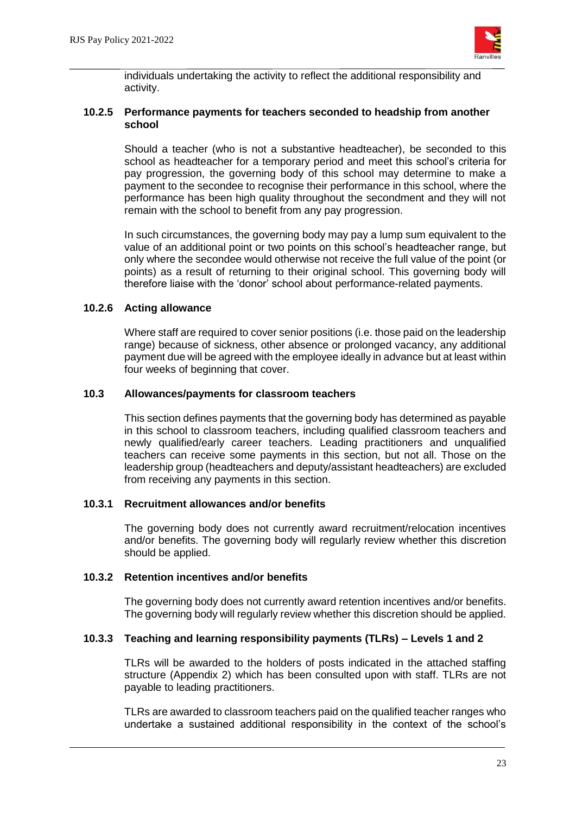

individuals undertaking the activity to reflect the additional responsibility and activity.

#### **10.2.5 Performance payments for teachers seconded to headship from another school**

Should a teacher (who is not a substantive headteacher), be seconded to this school as headteacher for a temporary period and meet this school's criteria for pay progression, the governing body of this school may determine to make a payment to the secondee to recognise their performance in this school, where the performance has been high quality throughout the secondment and they will not remain with the school to benefit from any pay progression.

In such circumstances, the governing body may pay a lump sum equivalent to the value of an additional point or two points on this school's headteacher range, but only where the secondee would otherwise not receive the full value of the point (or points) as a result of returning to their original school. This governing body will therefore liaise with the 'donor' school about performance-related payments.

## **10.2.6 Acting allowance**

Where staff are required to cover senior positions (i.e. those paid on the leadership range) because of sickness, other absence or prolonged vacancy, any additional payment due will be agreed with the employee ideally in advance but at least within four weeks of beginning that cover.

## **10.3 Allowances/payments for classroom teachers**

This section defines payments that the governing body has determined as payable in this school to classroom teachers, including qualified classroom teachers and newly qualified/early career teachers. Leading practitioners and unqualified teachers can receive some payments in this section, but not all. Those on the leadership group (headteachers and deputy/assistant headteachers) are excluded from receiving any payments in this section.

## **10.3.1 Recruitment allowances and/or benefits**

The governing body does not currently award recruitment/relocation incentives and/or benefits. The governing body will regularly review whether this discretion should be applied.

## **10.3.2 Retention incentives and/or benefits**

The governing body does not currently award retention incentives and/or benefits. The governing body will regularly review whether this discretion should be applied.

## **10.3.3 Teaching and learning responsibility payments (TLRs) – Levels 1 and 2**

TLRs will be awarded to the holders of posts indicated in the attached staffing structure (Appendix 2) which has been consulted upon with staff. TLRs are not payable to leading practitioners.

TLRs are awarded to classroom teachers paid on the qualified teacher ranges who undertake a sustained additional responsibility in the context of the school's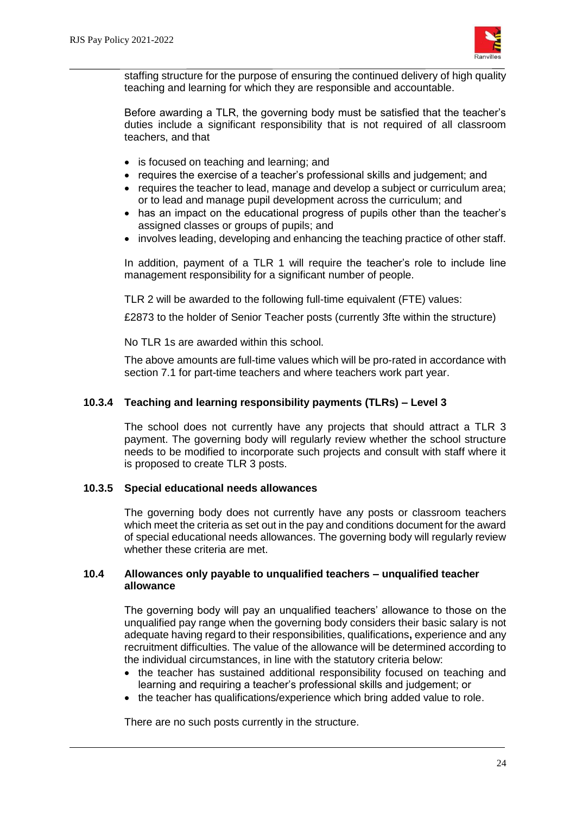

staffing structure for the purpose of ensuring the continued delivery of high quality teaching and learning for which they are responsible and accountable.

Before awarding a TLR, the governing body must be satisfied that the teacher's duties include a significant responsibility that is not required of all classroom teachers, and that

- is focused on teaching and learning; and
- requires the exercise of a teacher's professional skills and judgement; and
- requires the teacher to lead, manage and develop a subject or curriculum area; or to lead and manage pupil development across the curriculum; and
- has an impact on the educational progress of pupils other than the teacher's assigned classes or groups of pupils; and
- involves leading, developing and enhancing the teaching practice of other staff.

In addition, payment of a TLR 1 will require the teacher's role to include line management responsibility for a significant number of people.

TLR 2 will be awarded to the following full-time equivalent (FTE) values:

£2873 to the holder of Senior Teacher posts (currently 3fte within the structure)

No TLR 1s are awarded within this school.

The above amounts are full-time values which will be pro-rated in accordance with section 7.1 for part-time teachers and where teachers work part year.

#### **10.3.4 Teaching and learning responsibility payments (TLRs) – Level 3**

The school does not currently have any projects that should attract a TLR 3 payment. The governing body will regularly review whether the school structure needs to be modified to incorporate such projects and consult with staff where it is proposed to create TLR 3 posts.

#### **10.3.5 Special educational needs allowances**

The governing body does not currently have any posts or classroom teachers which meet the criteria as set out in the pay and conditions document for the award of special educational needs allowances. The governing body will regularly review whether these criteria are met.

#### **10.4 Allowances only payable to unqualified teachers – unqualified teacher allowance**

The governing body will pay an unqualified teachers' allowance to those on the unqualified pay range when the governing body considers their basic salary is not adequate having regard to their responsibilities, qualifications**,** experience and any recruitment difficulties. The value of the allowance will be determined according to the individual circumstances, in line with the statutory criteria below:

- the teacher has sustained additional responsibility focused on teaching and learning and requiring a teacher's professional skills and judgement; or
- the teacher has qualifications/experience which bring added value to role.

There are no such posts currently in the structure.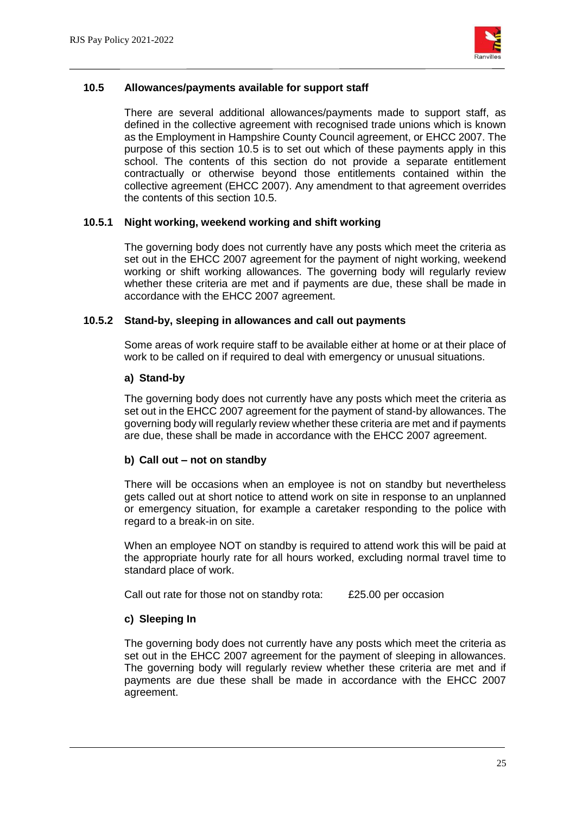

## **10.5 Allowances/payments available for support staff**

There are several additional allowances/payments made to support staff, as defined in the collective agreement with recognised trade unions which is known as the Employment in Hampshire County Council agreement, or EHCC 2007. The purpose of this section 10.5 is to set out which of these payments apply in this school. The contents of this section do not provide a separate entitlement contractually or otherwise beyond those entitlements contained within the collective agreement (EHCC 2007). Any amendment to that agreement overrides the contents of this section 10.5.

#### **10.5.1 Night working, weekend working and shift working**

The governing body does not currently have any posts which meet the criteria as set out in the EHCC 2007 agreement for the payment of night working, weekend working or shift working allowances. The governing body will regularly review whether these criteria are met and if payments are due, these shall be made in accordance with the EHCC 2007 agreement.

#### **10.5.2 Stand-by, sleeping in allowances and call out payments**

Some areas of work require staff to be available either at home or at their place of work to be called on if required to deal with emergency or unusual situations.

#### **a) Stand-by**

The governing body does not currently have any posts which meet the criteria as set out in the EHCC 2007 agreement for the payment of stand-by allowances. The governing body will regularly review whether these criteria are met and if payments are due, these shall be made in accordance with the EHCC 2007 agreement.

#### **b) Call out – not on standby**

There will be occasions when an employee is not on standby but nevertheless gets called out at short notice to attend work on site in response to an unplanned or emergency situation, for example a caretaker responding to the police with regard to a break-in on site.

When an employee NOT on standby is required to attend work this will be paid at the appropriate hourly rate for all hours worked, excluding normal travel time to standard place of work.

Call out rate for those not on standby rota: £25.00 per occasion

#### **c) Sleeping In**

The governing body does not currently have any posts which meet the criteria as set out in the EHCC 2007 agreement for the payment of sleeping in allowances. The governing body will regularly review whether these criteria are met and if payments are due these shall be made in accordance with the EHCC 2007 agreement.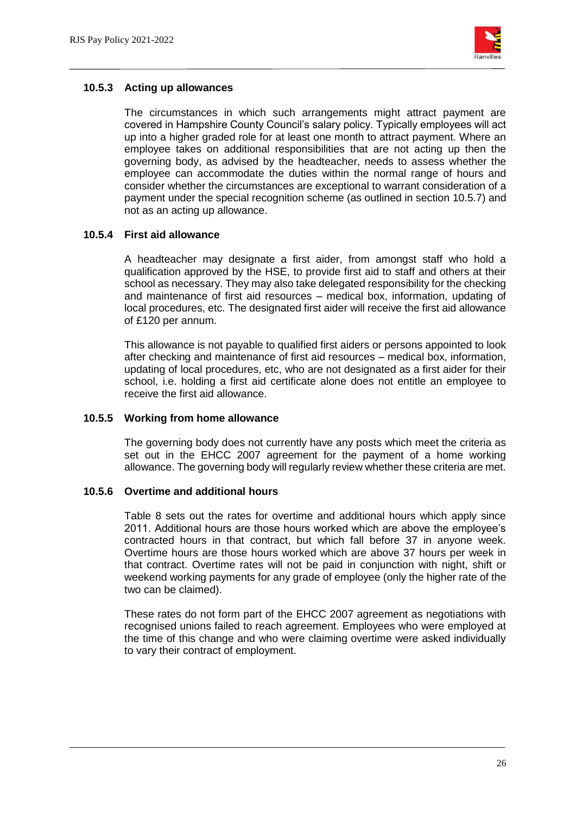

## **10.5.3 Acting up allowances**

The circumstances in which such arrangements might attract payment are covered in Hampshire County Council's salary policy. Typically employees will act up into a higher graded role for at least one month to attract payment. Where an employee takes on additional responsibilities that are not acting up then the governing body, as advised by the headteacher, needs to assess whether the employee can accommodate the duties within the normal range of hours and consider whether the circumstances are exceptional to warrant consideration of a payment under the special recognition scheme (as outlined in section 10.5.7) and not as an acting up allowance.

## **10.5.4 First aid allowance**

A headteacher may designate a first aider, from amongst staff who hold a qualification approved by the HSE, to provide first aid to staff and others at their school as necessary. They may also take delegated responsibility for the checking and maintenance of first aid resources – medical box, information, updating of local procedures, etc. The designated first aider will receive the first aid allowance of £120 per annum.

This allowance is not payable to qualified first aiders or persons appointed to look after checking and maintenance of first aid resources – medical box, information, updating of local procedures, etc, who are not designated as a first aider for their school, i.e. holding a first aid certificate alone does not entitle an employee to receive the first aid allowance.

#### **10.5.5 Working from home allowance**

The governing body does not currently have any posts which meet the criteria as set out in the EHCC 2007 agreement for the payment of a home working allowance. The governing body will regularly review whether these criteria are met.

#### **10.5.6 Overtime and additional hours**

Table 8 sets out the rates for overtime and additional hours which apply since 2011. Additional hours are those hours worked which are above the employee's contracted hours in that contract, but which fall before 37 in anyone week. Overtime hours are those hours worked which are above 37 hours per week in that contract. Overtime rates will not be paid in conjunction with night, shift or weekend working payments for any grade of employee (only the higher rate of the two can be claimed).

These rates do not form part of the EHCC 2007 agreement as negotiations with recognised unions failed to reach agreement. Employees who were employed at the time of this change and who were claiming overtime were asked individually to vary their contract of employment.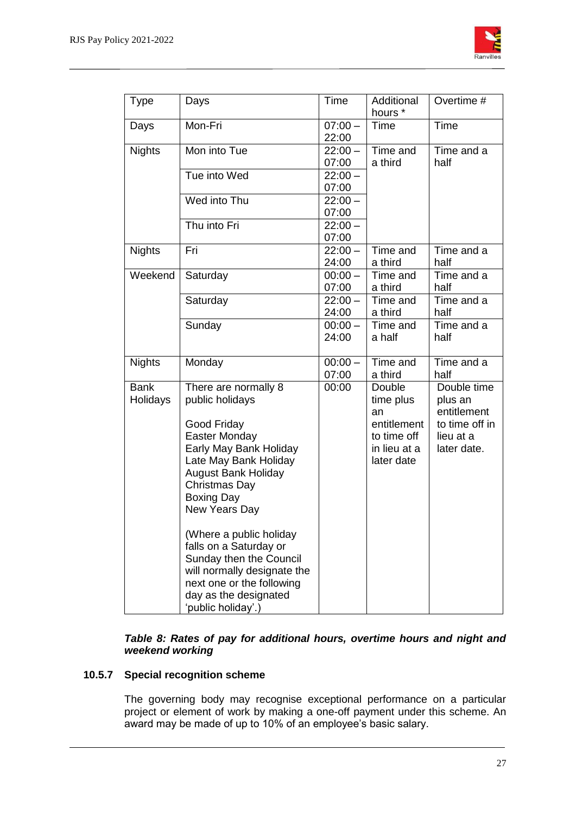

|               |                             |           | Additional   | Overtime #     |
|---------------|-----------------------------|-----------|--------------|----------------|
| Type          | Days                        | Time      | hours *      |                |
| Days          | Mon-Fri                     | $07:00 -$ | Time         | Time           |
|               |                             | 22:00     |              |                |
| <b>Nights</b> | Mon into Tue                | $22:00 -$ | Time and     | Time and a     |
|               |                             | 07:00     | a third      | half           |
|               | Tue into Wed                | $22:00 -$ |              |                |
|               |                             | 07:00     |              |                |
|               | Wed into Thu                | $22:00 -$ |              |                |
|               |                             | 07:00     |              |                |
|               | Thu into Fri                | $22:00 -$ |              |                |
|               |                             | 07:00     |              |                |
| <b>Nights</b> | Fri                         | $22:00 -$ | Time and     | Time and a     |
|               |                             | 24:00     | a third      | half           |
| Weekend       | Saturday                    | $00:00 -$ | Time and     | Time and a     |
|               |                             | 07:00     | a third      | half           |
|               | Saturday                    | $22:00 -$ | Time and     | Time and a     |
|               |                             | 24:00     | a third      | half           |
|               | Sunday                      | $00:00 -$ | Time and     | Time and a     |
|               |                             | 24:00     | a half       | half           |
|               |                             |           |              |                |
| <b>Nights</b> | Monday                      | $00:00 -$ | Time and     | Time and a     |
|               |                             | 07:00     | a third      | half           |
| <b>Bank</b>   | There are normally 8        | 00:00     | Double       | Double time    |
| Holidays      | public holidays             |           | time plus    | plus an        |
|               |                             |           | an           | entitlement    |
|               | Good Friday                 |           | entitlement  | to time off in |
|               | Easter Monday               |           | to time off  | lieu at a      |
|               | Early May Bank Holiday      |           | in lieu at a | later date.    |
|               | Late May Bank Holiday       |           | later date   |                |
|               | <b>August Bank Holiday</b>  |           |              |                |
|               | <b>Christmas Day</b>        |           |              |                |
|               | <b>Boxing Day</b>           |           |              |                |
|               | New Years Day               |           |              |                |
|               | (Where a public holiday     |           |              |                |
|               | falls on a Saturday or      |           |              |                |
|               | Sunday then the Council     |           |              |                |
|               | will normally designate the |           |              |                |
|               | next one or the following   |           |              |                |
|               | day as the designated       |           |              |                |
|               | 'public holiday'.)          |           |              |                |

#### *Table 8: Rates of pay for additional hours, overtime hours and night and weekend working*

## **10.5.7 Special recognition scheme**

The governing body may recognise exceptional performance on a particular project or element of work by making a one-off payment under this scheme. An award may be made of up to 10% of an employee's basic salary.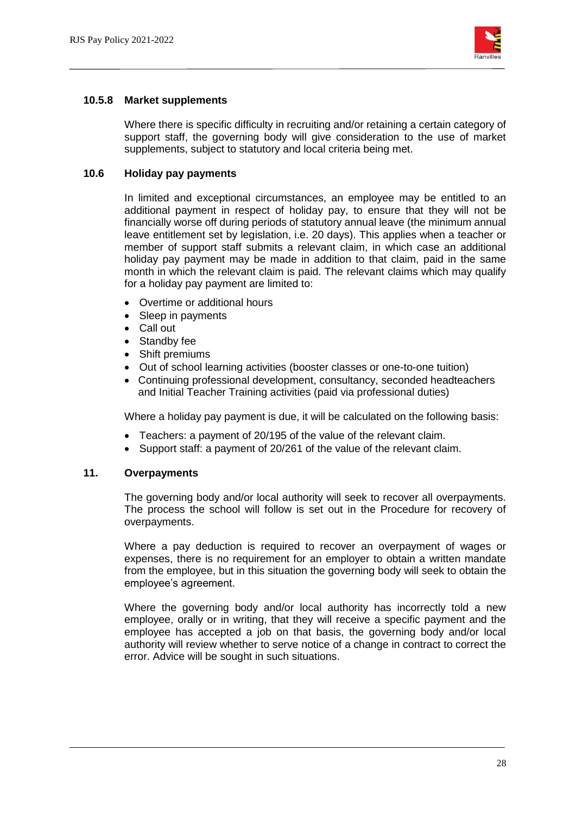

## **10.5.8 Market supplements**

Where there is specific difficulty in recruiting and/or retaining a certain category of support staff, the governing body will give consideration to the use of market supplements, subject to statutory and local criteria being met.

#### **10.6 Holiday pay payments**

In limited and exceptional circumstances, an employee may be entitled to an additional payment in respect of holiday pay, to ensure that they will not be financially worse off during periods of statutory annual leave (the minimum annual leave entitlement set by legislation, i.e. 20 days). This applies when a teacher or member of support staff submits a relevant claim, in which case an additional holiday pay payment may be made in addition to that claim, paid in the same month in which the relevant claim is paid. The relevant claims which may qualify for a holiday pay payment are limited to:

- Overtime or additional hours
- Sleep in payments
- Call out
- Standby fee
- Shift premiums
- Out of school learning activities (booster classes or one-to-one tuition)
- Continuing professional development, consultancy, seconded headteachers and Initial Teacher Training activities (paid via professional duties)

Where a holiday pay payment is due, it will be calculated on the following basis:

- Teachers: a payment of 20/195 of the value of the relevant claim.
- Support staff: a payment of 20/261 of the value of the relevant claim.

#### **11. Overpayments**

The governing body and/or local authority will seek to recover all overpayments. The process the school will follow is set out in the Procedure for recovery of overpayments.

Where a pay deduction is required to recover an overpayment of wages or expenses, there is no requirement for an employer to obtain a written mandate from the employee, but in this situation the governing body will seek to obtain the employee's agreement.

Where the governing body and/or local authority has incorrectly told a new employee, orally or in writing, that they will receive a specific payment and the employee has accepted a job on that basis, the governing body and/or local authority will review whether to serve notice of a change in contract to correct the error. Advice will be sought in such situations.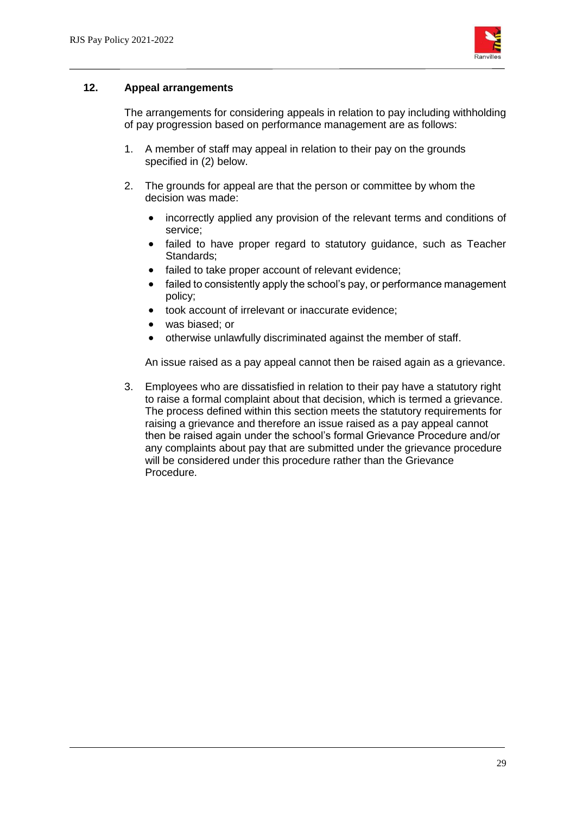

#### **12. Appeal arrangements**

The arrangements for considering appeals in relation to pay including withholding of pay progression based on performance management are as follows:

- 1. A member of staff may appeal in relation to their pay on the grounds specified in (2) below.
- 2. The grounds for appeal are that the person or committee by whom the decision was made:
	- incorrectly applied any provision of the relevant terms and conditions of service;
	- failed to have proper regard to statutory guidance, such as Teacher Standards;
	- failed to take proper account of relevant evidence;
	- failed to consistently apply the school's pay, or performance management policy;
	- took account of irrelevant or inaccurate evidence;
	- was biased; or
	- otherwise unlawfully discriminated against the member of staff.

An issue raised as a pay appeal cannot then be raised again as a grievance.

3. Employees who are dissatisfied in relation to their pay have a statutory right to raise a formal complaint about that decision, which is termed a grievance. The process defined within this section meets the statutory requirements for raising a grievance and therefore an issue raised as a pay appeal cannot then be raised again under the school's formal Grievance Procedure and/or any complaints about pay that are submitted under the grievance procedure will be considered under this procedure rather than the Grievance Procedure.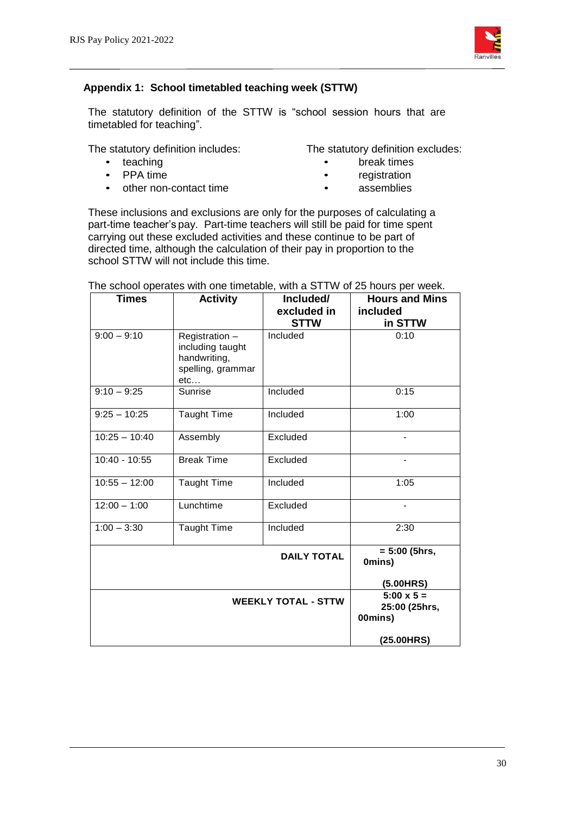

## **Appendix 1: School timetabled teaching week (STTW)**

The statutory definition of the STTW is "school session hours that are timetabled for teaching".

- 
- 
- PPA time registration<br>• other non-contact time assemblies • other non-contact time
- The statutory definition includes: The statutory definition excludes:
	- teaching break times<br>• PPA time
		-
		-

These inclusions and exclusions are only for the purposes of calculating a part-time teacher's pay. Part-time teachers will still be paid for time spent carrying out these excluded activities and these continue to be part of directed time, although the calculation of their pay in proportion to the school STTW will not include this time.

| <b>Times</b>    | <b>Activity</b>                                                                | Included/<br>excluded in   | <b>Hours and Mins</b><br>included             |
|-----------------|--------------------------------------------------------------------------------|----------------------------|-----------------------------------------------|
|                 |                                                                                | <b>STTW</b>                | in STTW                                       |
| $9:00 - 9:10$   | Registration -<br>including taught<br>handwriting,<br>spelling, grammar<br>etc | Included                   | 0:10                                          |
| $9:10 - 9:25$   | Sunrise                                                                        | Included                   | 0:15                                          |
| $9:25 - 10:25$  | <b>Taught Time</b>                                                             | Included                   | 1:00                                          |
| $10:25 - 10:40$ | Assembly                                                                       | Excluded                   |                                               |
| 10:40 - 10:55   | <b>Break Time</b>                                                              | Excluded                   |                                               |
| $10:55 - 12:00$ | <b>Taught Time</b>                                                             | Included                   | 1:05                                          |
| $12:00 - 1:00$  | Lunchtime                                                                      | Excluded                   | $\overline{\phantom{a}}$                      |
| $1:00 - 3:30$   | <b>Taught Time</b>                                                             | Included                   | 2:30                                          |
|                 |                                                                                | <b>DAILY TOTAL</b>         | $= 5:00$ (5hrs,<br>0mins)                     |
|                 |                                                                                |                            | (5.00HRS)                                     |
|                 |                                                                                | <b>WEEKLY TOTAL - STTW</b> | $5:00 \times 5 =$<br>25:00 (25hrs,<br>00mins) |
|                 |                                                                                |                            | (25.00HRS)                                    |

The school operates with one timetable, with a STTW of 25 hours per week.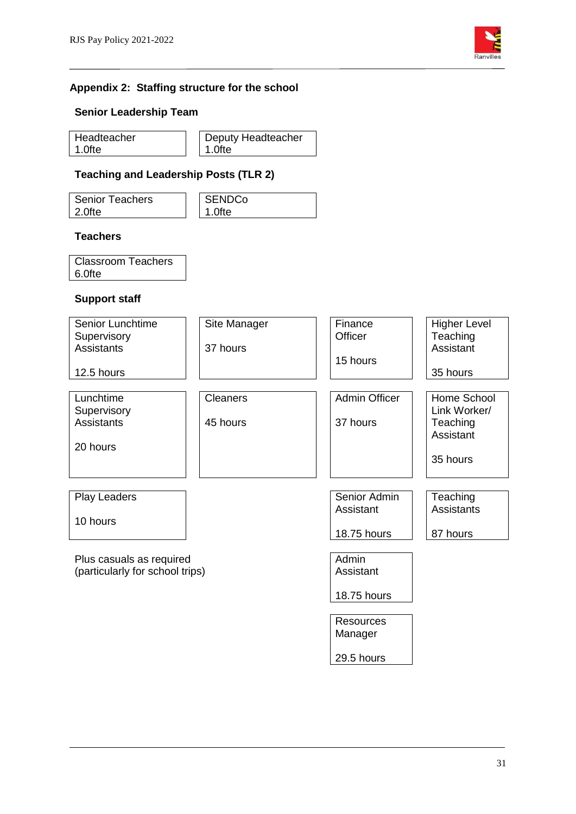

## **Appendix 2: Staffing structure for the school**

#### **Senior Leadership Team**

| Headteacher | Deputy Headteacher |
|-------------|--------------------|
| l 1.0fte    | 1.0fte             |

## **Teaching and Leadership Posts (TLR 2)**

| l Senior Teachers | <b>SENDCo</b> |
|-------------------|---------------|
| l 2.0fte          | 1.0fte        |

#### **Teachers**

| <b>Classroom Teachers</b> |  |
|---------------------------|--|
| 6.0fte                    |  |

#### **Support staff**

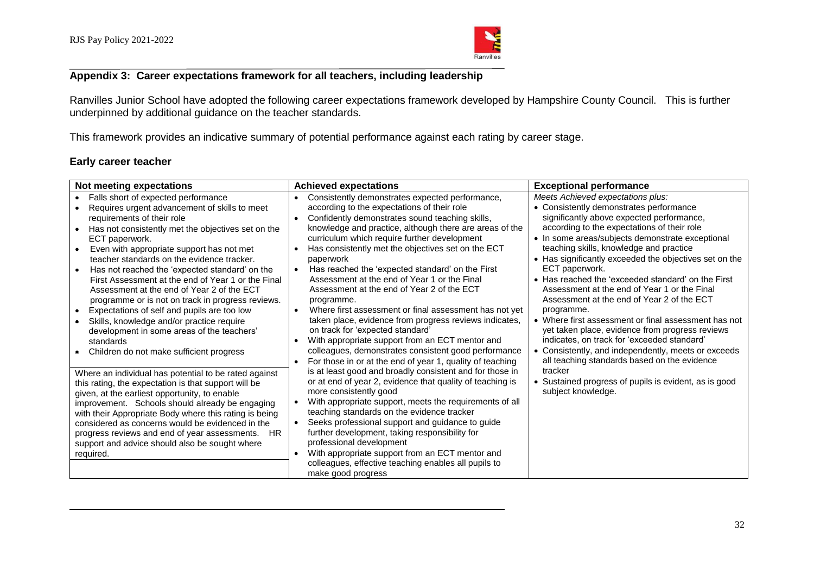

## **Appendix 3: Career expectations framework for all teachers, including leadership**

Ranvilles Junior School have adopted the following career expectations framework developed by Hampshire County Council. This is further underpinned by additional guidance on the teacher standards.

This framework provides an indicative summary of potential performance against each rating by career stage.

#### **Early career teacher**

| Not meeting expectations                                                                                                                                                                                                                                                                                                                                                                                                                                                                                                                                                                                                                                                                                         | <b>Achieved expectations</b>                                                                                                                                                                                                                                                                                                                                                                                                                                                                                                                                                                                                                                                                                                                                       | <b>Exceptional performance</b>                                                                                                                                                                                                                                                                                                                                                                                                                                                                                                                                                                                                                                                                                                         |
|------------------------------------------------------------------------------------------------------------------------------------------------------------------------------------------------------------------------------------------------------------------------------------------------------------------------------------------------------------------------------------------------------------------------------------------------------------------------------------------------------------------------------------------------------------------------------------------------------------------------------------------------------------------------------------------------------------------|--------------------------------------------------------------------------------------------------------------------------------------------------------------------------------------------------------------------------------------------------------------------------------------------------------------------------------------------------------------------------------------------------------------------------------------------------------------------------------------------------------------------------------------------------------------------------------------------------------------------------------------------------------------------------------------------------------------------------------------------------------------------|----------------------------------------------------------------------------------------------------------------------------------------------------------------------------------------------------------------------------------------------------------------------------------------------------------------------------------------------------------------------------------------------------------------------------------------------------------------------------------------------------------------------------------------------------------------------------------------------------------------------------------------------------------------------------------------------------------------------------------------|
| Falls short of expected performance<br>Requires urgent advancement of skills to meet<br>requirements of their role<br>Has not consistently met the objectives set on the<br>ECT paperwork.<br>Even with appropriate support has not met<br>teacher standards on the evidence tracker.<br>Has not reached the 'expected standard' on the<br>First Assessment at the end of Year 1 or the Final<br>Assessment at the end of Year 2 of the ECT<br>programme or is not on track in progress reviews.<br>Expectations of self and pupils are too low<br>Skills, knowledge and/or practice require<br>$\bullet$<br>development in some areas of the teachers'<br>standards<br>Children do not make sufficient progress | Consistently demonstrates expected performance,<br>according to the expectations of their role<br>Confidently demonstrates sound teaching skills,<br>knowledge and practice, although there are areas of the<br>curriculum which require further development<br>Has consistently met the objectives set on the ECT<br>paperwork<br>Has reached the 'expected standard' on the First<br>Assessment at the end of Year 1 or the Final<br>Assessment at the end of Year 2 of the ECT<br>programme.<br>Where first assessment or final assessment has not yet<br>taken place, evidence from progress reviews indicates,<br>on track for 'expected standard'<br>With appropriate support from an ECT mentor and<br>colleagues, demonstrates consistent good performance | Meets Achieved expectations plus:<br>• Consistently demonstrates performance<br>significantly above expected performance,<br>according to the expectations of their role<br>• In some areas/subjects demonstrate exceptional<br>teaching skills, knowledge and practice<br>• Has significantly exceeded the objectives set on the<br>ECT paperwork.<br>• Has reached the 'exceeded standard' on the First<br>Assessment at the end of Year 1 or the Final<br>Assessment at the end of Year 2 of the ECT<br>programme.<br>• Where first assessment or final assessment has not<br>yet taken place, evidence from progress reviews<br>indicates, on track for 'exceeded standard'<br>• Consistently, and independently, meets or exceeds |
| Where an individual has potential to be rated against<br>this rating, the expectation is that support will be<br>given, at the earliest opportunity, to enable<br>improvement. Schools should already be engaging<br>with their Appropriate Body where this rating is being<br>considered as concerns would be evidenced in the<br>progress reviews and end of year assessments. HR<br>support and advice should also be sought where<br>required.                                                                                                                                                                                                                                                               | For those in or at the end of year 1, quality of teaching<br>is at least good and broadly consistent and for those in<br>or at end of year 2, evidence that quality of teaching is<br>more consistently good<br>With appropriate support, meets the requirements of all<br>teaching standards on the evidence tracker<br>Seeks professional support and guidance to guide<br>$\bullet$<br>further development, taking responsibility for<br>professional development<br>With appropriate support from an ECT mentor and<br>colleagues, effective teaching enables all pupils to<br>make good progress                                                                                                                                                              | all teaching standards based on the evidence<br>tracker<br>Sustained progress of pupils is evident, as is good<br>subject knowledge.                                                                                                                                                                                                                                                                                                                                                                                                                                                                                                                                                                                                   |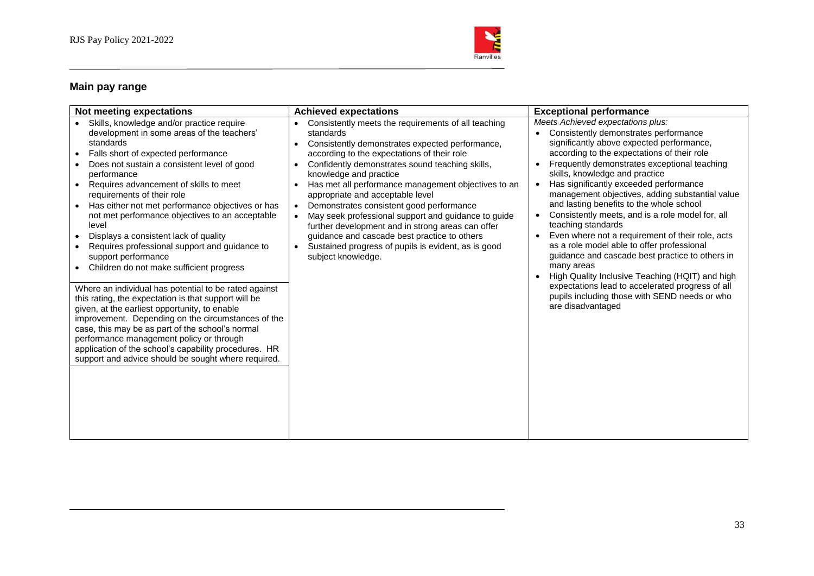

## **Main pay range**

| Not meeting expectations                                                                                                                                                                                                                                                                                                                                                                                                                                                                                                                                                                                                                                                                                                                                                                                                                                                                                                                                                                                            | <b>Achieved expectations</b>                                                                                                                                                                                                                                                                                                                                                                                                                                                                                                                                                                                                                                           | <b>Exceptional performance</b>                                                                                                                                                                                                                                                                                                                                                                                                                                                                                                                                                                                                                                                                                                                                                                                                           |
|---------------------------------------------------------------------------------------------------------------------------------------------------------------------------------------------------------------------------------------------------------------------------------------------------------------------------------------------------------------------------------------------------------------------------------------------------------------------------------------------------------------------------------------------------------------------------------------------------------------------------------------------------------------------------------------------------------------------------------------------------------------------------------------------------------------------------------------------------------------------------------------------------------------------------------------------------------------------------------------------------------------------|------------------------------------------------------------------------------------------------------------------------------------------------------------------------------------------------------------------------------------------------------------------------------------------------------------------------------------------------------------------------------------------------------------------------------------------------------------------------------------------------------------------------------------------------------------------------------------------------------------------------------------------------------------------------|------------------------------------------------------------------------------------------------------------------------------------------------------------------------------------------------------------------------------------------------------------------------------------------------------------------------------------------------------------------------------------------------------------------------------------------------------------------------------------------------------------------------------------------------------------------------------------------------------------------------------------------------------------------------------------------------------------------------------------------------------------------------------------------------------------------------------------------|
| Skills, knowledge and/or practice require<br>development in some areas of the teachers'<br>standards<br>Falls short of expected performance<br>Does not sustain a consistent level of good<br>performance<br>Requires advancement of skills to meet<br>$\bullet$<br>requirements of their role<br>Has either not met performance objectives or has<br>not met performance objectives to an acceptable<br>level<br>Displays a consistent lack of quality<br>Requires professional support and guidance to<br>support performance<br>Children do not make sufficient progress<br>Where an individual has potential to be rated against<br>this rating, the expectation is that support will be<br>given, at the earliest opportunity, to enable<br>improvement. Depending on the circumstances of the<br>case, this may be as part of the school's normal<br>performance management policy or through<br>application of the school's capability procedures. HR<br>support and advice should be sought where required. | Consistently meets the requirements of all teaching<br>standards<br>Consistently demonstrates expected performance,<br>$\bullet$<br>according to the expectations of their role<br>Confidently demonstrates sound teaching skills,<br>$\bullet$<br>knowledge and practice<br>Has met all performance management objectives to an<br>$\bullet$<br>appropriate and acceptable level<br>Demonstrates consistent good performance<br>May seek professional support and guidance to guide<br>further development and in strong areas can offer<br>guidance and cascade best practice to others<br>Sustained progress of pupils is evident, as is good<br>subject knowledge. | Meets Achieved expectations plus:<br>Consistently demonstrates performance<br>significantly above expected performance,<br>according to the expectations of their role<br>Frequently demonstrates exceptional teaching<br>skills, knowledge and practice<br>Has significantly exceeded performance<br>$\bullet$<br>management objectives, adding substantial value<br>and lasting benefits to the whole school<br>Consistently meets, and is a role model for, all<br>teaching standards<br>Even where not a requirement of their role, acts<br>as a role model able to offer professional<br>guidance and cascade best practice to others in<br>many areas<br>High Quality Inclusive Teaching (HQIT) and high<br>expectations lead to accelerated progress of all<br>pupils including those with SEND needs or who<br>are disadvantaged |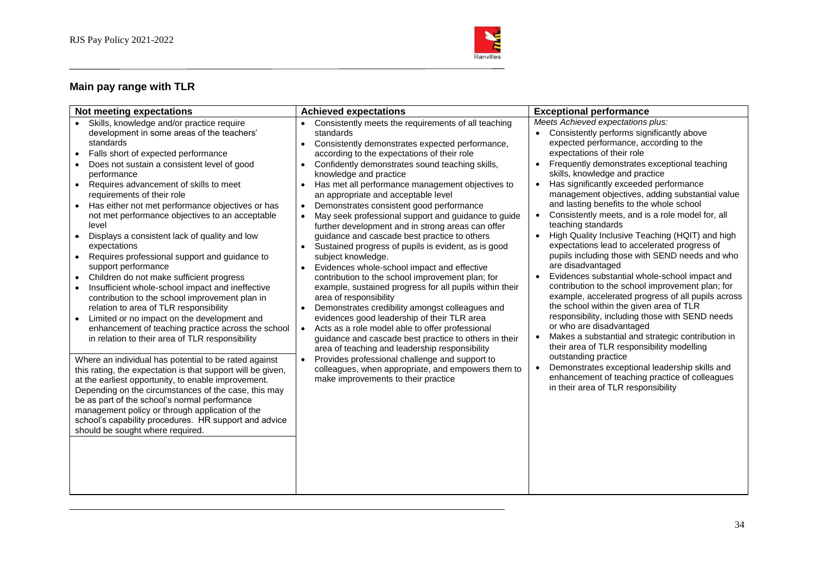

## **Main pay range with TLR**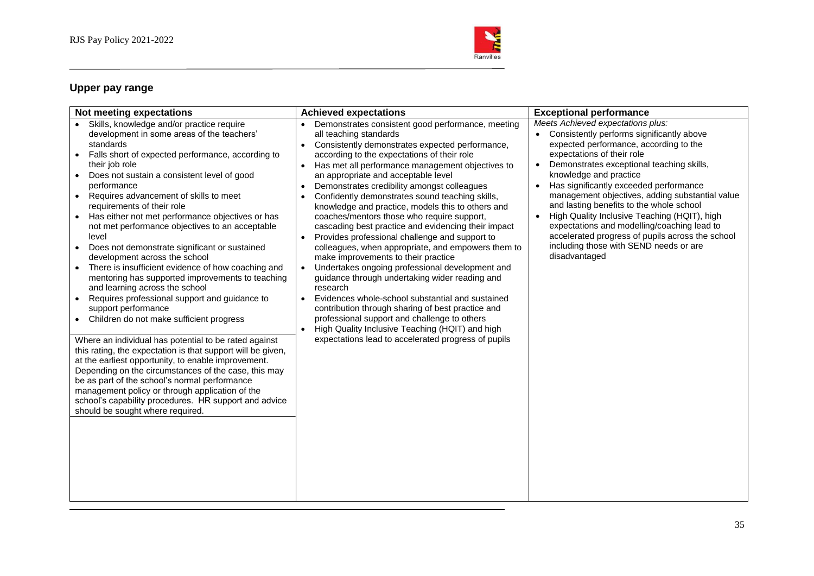

## **Upper pay range**

| Not meeting expectations                                                                                                                                                                                                                                                                                                                                                                                                                                                                                                                                                                                                                                                                                                                                                                                                                                                                                                                                                                                                                                                                                                                                                                                                                                                                                    | <b>Achieved expectations</b>                                                                                                                                                                                                                                                                                                                                                                                                                                                                                                                                                                                                                                                                                                                                                                                                                                                                                                                                                                                                                                                                                                | <b>Exceptional performance</b>                                                                                                                                                                                                                                                                                                                                                                                                                                                                                                                                                       |
|-------------------------------------------------------------------------------------------------------------------------------------------------------------------------------------------------------------------------------------------------------------------------------------------------------------------------------------------------------------------------------------------------------------------------------------------------------------------------------------------------------------------------------------------------------------------------------------------------------------------------------------------------------------------------------------------------------------------------------------------------------------------------------------------------------------------------------------------------------------------------------------------------------------------------------------------------------------------------------------------------------------------------------------------------------------------------------------------------------------------------------------------------------------------------------------------------------------------------------------------------------------------------------------------------------------|-----------------------------------------------------------------------------------------------------------------------------------------------------------------------------------------------------------------------------------------------------------------------------------------------------------------------------------------------------------------------------------------------------------------------------------------------------------------------------------------------------------------------------------------------------------------------------------------------------------------------------------------------------------------------------------------------------------------------------------------------------------------------------------------------------------------------------------------------------------------------------------------------------------------------------------------------------------------------------------------------------------------------------------------------------------------------------------------------------------------------------|--------------------------------------------------------------------------------------------------------------------------------------------------------------------------------------------------------------------------------------------------------------------------------------------------------------------------------------------------------------------------------------------------------------------------------------------------------------------------------------------------------------------------------------------------------------------------------------|
| • Skills, knowledge and/or practice require<br>development in some areas of the teachers'<br>standards<br>Falls short of expected performance, according to<br>$\bullet$<br>their job role<br>Does not sustain a consistent level of good<br>$\bullet$<br>performance<br>Requires advancement of skills to meet<br>$\bullet$<br>requirements of their role<br>Has either not met performance objectives or has<br>not met performance objectives to an acceptable<br>level<br>Does not demonstrate significant or sustained<br>$\bullet$<br>development across the school<br>There is insufficient evidence of how coaching and<br>$\bullet$<br>mentoring has supported improvements to teaching<br>and learning across the school<br>Requires professional support and guidance to<br>$\bullet$<br>support performance<br>Children do not make sufficient progress<br>Where an individual has potential to be rated against<br>this rating, the expectation is that support will be given,<br>at the earliest opportunity, to enable improvement.<br>Depending on the circumstances of the case, this may<br>be as part of the school's normal performance<br>management policy or through application of the<br>school's capability procedures. HR support and advice<br>should be sought where required. | Demonstrates consistent good performance, meeting<br>all teaching standards<br>Consistently demonstrates expected performance,<br>$\bullet$<br>according to the expectations of their role<br>Has met all performance management objectives to<br>$\bullet$<br>an appropriate and acceptable level<br>Demonstrates credibility amongst colleagues<br>$\bullet$<br>Confidently demonstrates sound teaching skills,<br>knowledge and practice, models this to others and<br>coaches/mentors those who require support,<br>cascading best practice and evidencing their impact<br>Provides professional challenge and support to<br>colleagues, when appropriate, and empowers them to<br>make improvements to their practice<br>Undertakes ongoing professional development and<br>guidance through undertaking wider reading and<br>research<br>Evidences whole-school substantial and sustained<br>$\bullet$<br>contribution through sharing of best practice and<br>professional support and challenge to others<br>High Quality Inclusive Teaching (HQIT) and high<br>expectations lead to accelerated progress of pupils | Meets Achieved expectations plus:<br>Consistently performs significantly above<br>expected performance, according to the<br>expectations of their role<br>Demonstrates exceptional teaching skills,<br>knowledge and practice<br>Has significantly exceeded performance<br>management objectives, adding substantial value<br>and lasting benefits to the whole school<br>High Quality Inclusive Teaching (HQIT), high<br>expectations and modelling/coaching lead to<br>accelerated progress of pupils across the school<br>including those with SEND needs or are<br>disadvantaged |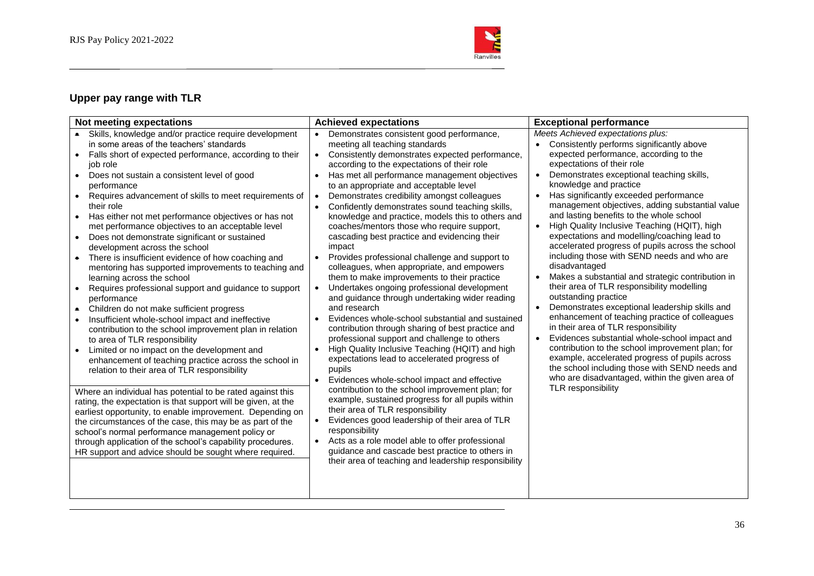

## **Upper pay range with TLR**

| Not meeting expectations                                                                                                                                                                                                                                                                                                                                                                                                                                                                                                                                                                                                                                                                                                                                                                                                                                                                                                                                                                                                                                                                                                                                                                                                                                                                                                                                                                                                                                                                                                                                                                                                                                       | <b>Achieved expectations</b>                                                                                                                                                                                                                                                                                                                                                                                                                                                                                                                                                                                                                                                                                                                                                                                                                                                                                                                                                                                                                                                                                                                                                                                                                                                                                                                                                                                                                                                                                                                                                 | <b>Exceptional performance</b>                                                                                                                                                                                                                                                                                                                                                                                                                                                                                                                                                                                                                                                                                                                                                                                                                                                                                                                                                                                                                                                                                                                                                                                                               |
|----------------------------------------------------------------------------------------------------------------------------------------------------------------------------------------------------------------------------------------------------------------------------------------------------------------------------------------------------------------------------------------------------------------------------------------------------------------------------------------------------------------------------------------------------------------------------------------------------------------------------------------------------------------------------------------------------------------------------------------------------------------------------------------------------------------------------------------------------------------------------------------------------------------------------------------------------------------------------------------------------------------------------------------------------------------------------------------------------------------------------------------------------------------------------------------------------------------------------------------------------------------------------------------------------------------------------------------------------------------------------------------------------------------------------------------------------------------------------------------------------------------------------------------------------------------------------------------------------------------------------------------------------------------|------------------------------------------------------------------------------------------------------------------------------------------------------------------------------------------------------------------------------------------------------------------------------------------------------------------------------------------------------------------------------------------------------------------------------------------------------------------------------------------------------------------------------------------------------------------------------------------------------------------------------------------------------------------------------------------------------------------------------------------------------------------------------------------------------------------------------------------------------------------------------------------------------------------------------------------------------------------------------------------------------------------------------------------------------------------------------------------------------------------------------------------------------------------------------------------------------------------------------------------------------------------------------------------------------------------------------------------------------------------------------------------------------------------------------------------------------------------------------------------------------------------------------------------------------------------------------|----------------------------------------------------------------------------------------------------------------------------------------------------------------------------------------------------------------------------------------------------------------------------------------------------------------------------------------------------------------------------------------------------------------------------------------------------------------------------------------------------------------------------------------------------------------------------------------------------------------------------------------------------------------------------------------------------------------------------------------------------------------------------------------------------------------------------------------------------------------------------------------------------------------------------------------------------------------------------------------------------------------------------------------------------------------------------------------------------------------------------------------------------------------------------------------------------------------------------------------------|
| • Skills, knowledge and/or practice require development<br>in some areas of the teachers' standards<br>Falls short of expected performance, according to their<br>$\bullet$<br>job role<br>Does not sustain a consistent level of good<br>$\bullet$<br>performance<br>Requires advancement of skills to meet requirements of<br>$\bullet$<br>their role<br>Has either not met performance objectives or has not<br>$\bullet$<br>met performance objectives to an acceptable level<br>Does not demonstrate significant or sustained<br>$\bullet$<br>development across the school<br>There is insufficient evidence of how coaching and<br>$\bullet$<br>mentoring has supported improvements to teaching and<br>learning across the school<br>Requires professional support and guidance to support<br>$\bullet$<br>performance<br>Children do not make sufficient progress<br>$\bullet$<br>Insufficient whole-school impact and ineffective<br>$\bullet$<br>contribution to the school improvement plan in relation<br>to area of TLR responsibility<br>Limited or no impact on the development and<br>$\bullet$<br>enhancement of teaching practice across the school in<br>relation to their area of TLR responsibility<br>Where an individual has potential to be rated against this<br>rating, the expectation is that support will be given, at the<br>earliest opportunity, to enable improvement. Depending on<br>the circumstances of the case, this may be as part of the<br>school's normal performance management policy or<br>through application of the school's capability procedures.<br>HR support and advice should be sought where required. | Demonstrates consistent good performance,<br>$\bullet$<br>meeting all teaching standards<br>Consistently demonstrates expected performance,<br>$\bullet$<br>according to the expectations of their role<br>Has met all performance management objectives<br>to an appropriate and acceptable level<br>Demonstrates credibility amongst colleagues<br>Confidently demonstrates sound teaching skills,<br>knowledge and practice, models this to others and<br>coaches/mentors those who require support,<br>cascading best practice and evidencing their<br>impact<br>Provides professional challenge and support to<br>$\bullet$<br>colleagues, when appropriate, and empowers<br>them to make improvements to their practice<br>Undertakes ongoing professional development<br>$\bullet$<br>and guidance through undertaking wider reading<br>and research<br>Evidences whole-school substantial and sustained<br>contribution through sharing of best practice and<br>professional support and challenge to others<br>High Quality Inclusive Teaching (HQIT) and high<br>expectations lead to accelerated progress of<br>pupils<br>Evidences whole-school impact and effective<br>$\bullet$<br>contribution to the school improvement plan; for<br>example, sustained progress for all pupils within<br>their area of TLR responsibility<br>Evidences good leadership of their area of TLR<br>responsibility<br>Acts as a role model able to offer professional<br>guidance and cascade best practice to others in<br>their area of teaching and leadership responsibility | Meets Achieved expectations plus:<br>Consistently performs significantly above<br>$\bullet$<br>expected performance, according to the<br>expectations of their role<br>Demonstrates exceptional teaching skills,<br>$\bullet$<br>knowledge and practice<br>Has significantly exceeded performance<br>$\bullet$<br>management objectives, adding substantial value<br>and lasting benefits to the whole school<br>High Quality Inclusive Teaching (HQIT), high<br>$\bullet$<br>expectations and modelling/coaching lead to<br>accelerated progress of pupils across the school<br>including those with SEND needs and who are<br>disadvantaged<br>Makes a substantial and strategic contribution in<br>$\bullet$<br>their area of TLR responsibility modelling<br>outstanding practice<br>Demonstrates exceptional leadership skills and<br>$\bullet$<br>enhancement of teaching practice of colleagues<br>in their area of TLR responsibility<br>Evidences substantial whole-school impact and<br>$\bullet$<br>contribution to the school improvement plan; for<br>example, accelerated progress of pupils across<br>the school including those with SEND needs and<br>who are disadvantaged, within the given area of<br>TLR responsibility |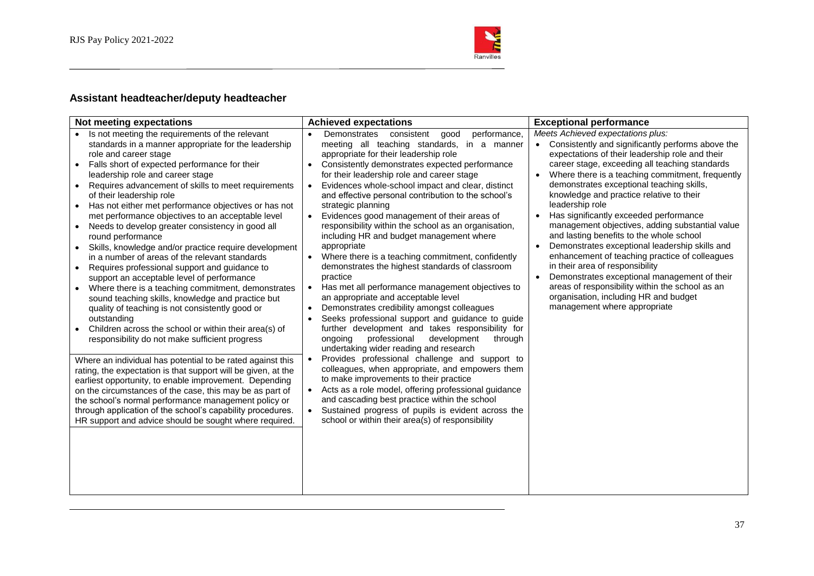

## **Assistant headteacher/deputy headteacher**